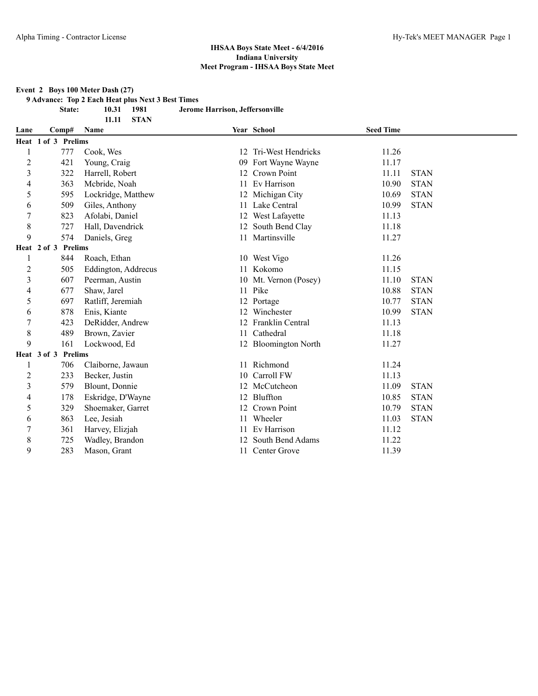### **Event 2 Boys 100 Meter Dash (27)**

**9 Advance: Top 2 Each Heat plus Next 3 Best Times**

**11.11 STAN**

**State: 10.31 1981 Jerome Harrison, Jeffersonville**

| Lane           |                     | Comp#   | Name                |     | Year School           | <b>Seed Time</b> |             |  |
|----------------|---------------------|---------|---------------------|-----|-----------------------|------------------|-------------|--|
|                | Heat 1 of 3 Prelims |         |                     |     |                       |                  |             |  |
|                |                     | 777     | Cook, Wes           |     | 12 Tri-West Hendricks | 11.26            |             |  |
| $\overline{c}$ |                     | 421     | Young, Craig        | 09  | Fort Wayne Wayne      | 11.17            |             |  |
| 3              |                     | 322     | Harrell, Robert     |     | 12 Crown Point        | 11.11            | <b>STAN</b> |  |
| 4              |                     | 363     | Mcbride, Noah       | 11  | Ev Harrison           | 10.90            | <b>STAN</b> |  |
| 5              |                     | 595     | Lockridge, Matthew  | 12  | Michigan City         | 10.69            | <b>STAN</b> |  |
| 6              |                     | 509     | Giles, Anthony      | 11  | Lake Central          | 10.99            | <b>STAN</b> |  |
| 7              |                     | 823     | Afolabi, Daniel     | 12  | West Lafayette        | 11.13            |             |  |
| 8              |                     | 727     | Hall, Davendrick    | 12  | South Bend Clay       | 11.18            |             |  |
| 9              |                     | 574     | Daniels, Greg       | 11  | Martinsville          | 11.27            |             |  |
|                | Heat 2 of 3         | Prelims |                     |     |                       |                  |             |  |
| 1              |                     | 844     | Roach, Ethan        |     | 10 West Vigo          | 11.26            |             |  |
| 2              |                     | 505     | Eddington, Addrecus | 11. | Kokomo                | 11.15            |             |  |
| 3              |                     | 607     | Peerman, Austin     |     | 10 Mt. Vernon (Posey) | 11.10            | <b>STAN</b> |  |
| 4              |                     | 677     | Shaw, Jarel         |     | 11 Pike               | 10.88            | <b>STAN</b> |  |
| 5              |                     | 697     | Ratliff, Jeremiah   |     | 12 Portage            | 10.77            | <b>STAN</b> |  |
| 6              |                     | 878     | Enis, Kiante        | 12  | Winchester            | 10.99            | <b>STAN</b> |  |
| $\overline{7}$ |                     | 423     | DeRidder, Andrew    | 12  | Franklin Central      | 11.13            |             |  |
| 8              |                     | 489     | Brown, Zavier       | 11  | Cathedral             | 11.18            |             |  |
| 9              |                     | 161     | Lockwood, Ed        |     | 12 Bloomington North  | 11.27            |             |  |
|                | Heat 3 of 3         | Prelims |                     |     |                       |                  |             |  |
|                |                     | 706     | Claiborne, Jawaun   | 11  | Richmond              | 11.24            |             |  |
| $\overline{c}$ |                     | 233     | Becker, Justin      | 10  | Carroll FW            | 11.13            |             |  |
| 3              |                     | 579     | Blount, Donnie      |     | McCutcheon            | 11.09            | <b>STAN</b> |  |
| 4              |                     | 178     | Eskridge, D'Wayne   |     | 12 Bluffton           | 10.85            | <b>STAN</b> |  |
| 5              |                     | 329     | Shoemaker, Garret   |     | 12 Crown Point        | 10.79            | <b>STAN</b> |  |
| 6              |                     | 863     | Lee, Jesiah         | 11  | Wheeler               | 11.03            | <b>STAN</b> |  |
| $\overline{7}$ |                     | 361     | Harvey, Elizjah     | 11  | Ev Harrison           | 11.12            |             |  |
| 8              |                     | 725     | Wadley, Brandon     |     | South Bend Adams      | 11.22            |             |  |
| 9              |                     | 283     | Mason, Grant        |     | 11 Center Grove       | 11.39            |             |  |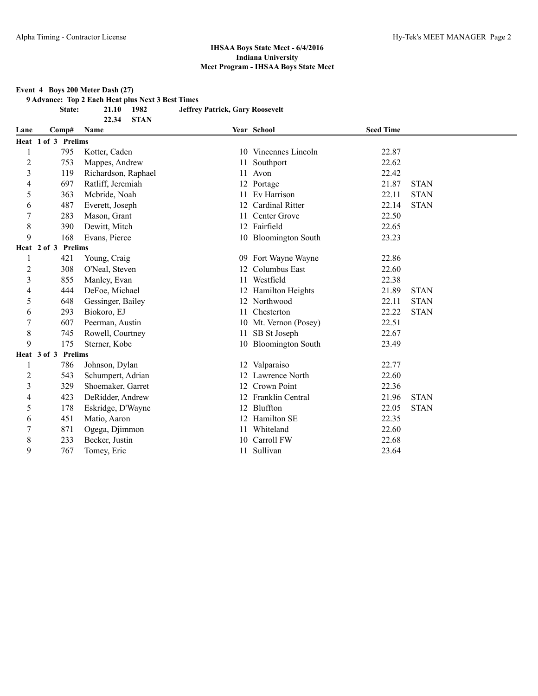### **Event 4 Boys 200 Meter Dash (27)**

**9 Advance: Top 2 Each Heat plus Next 3 Best Times**

**22.34 STAN**

**State: 21.10 1982 Jeffrey Patrick, Gary Roosevelt**

| Lane           | Comp#               |     | <b>Name</b>         |    | Year School              | <b>Seed Time</b> |             |
|----------------|---------------------|-----|---------------------|----|--------------------------|------------------|-------------|
|                | Heat 1 of 3 Prelims |     |                     |    |                          |                  |             |
|                |                     | 795 | Kotter, Caden       |    | 10 Vincennes Lincoln     | 22.87            |             |
| $\overline{c}$ |                     | 753 | Mappes, Andrew      |    | 11 Southport             | 22.62            |             |
| 3              |                     | 119 | Richardson, Raphael |    | 11 Avon                  | 22.42            |             |
| 4              |                     | 697 | Ratliff, Jeremiah   |    | 12 Portage               | 21.87            | <b>STAN</b> |
| 5              |                     | 363 | Mcbride, Noah       |    | 11 Ev Harrison           | 22.11            | <b>STAN</b> |
| 6              |                     | 487 | Everett, Joseph     | 12 | <b>Cardinal Ritter</b>   | 22.14            | <b>STAN</b> |
| 7              |                     | 283 | Mason, Grant        | 11 | Center Grove             | 22.50            |             |
| 8              |                     | 390 | Dewitt, Mitch       |    | 12 Fairfield             | 22.65            |             |
| 9              |                     | 168 | Evans, Pierce       |    | 10 Bloomington South     | 23.23            |             |
|                | Heat 2 of 3 Prelims |     |                     |    |                          |                  |             |
| 1              |                     | 421 | Young, Craig        |    | 09 Fort Wayne Wayne      | 22.86            |             |
| $\overline{c}$ |                     | 308 | O'Neal, Steven      | 12 | Columbus East            | 22.60            |             |
| 3              |                     | 855 | Manley, Evan        | 11 | Westfield                | 22.38            |             |
| 4              |                     | 444 | DeFoe, Michael      | 12 | Hamilton Heights         | 21.89            | <b>STAN</b> |
| 5              |                     | 648 | Gessinger, Bailey   | 12 | Northwood                | 22.11            | <b>STAN</b> |
| 6              |                     | 293 | Biokoro, EJ         | 11 | Chesterton               | 22.22            | <b>STAN</b> |
| $\tau$         |                     | 607 | Peerman, Austin     |    | 10 Mt. Vernon (Posey)    | 22.51            |             |
| 8              |                     | 745 | Rowell, Courtney    | 11 | SB St Joseph             | 22.67            |             |
| 9              |                     | 175 | Sterner, Kobe       | 10 | <b>Bloomington South</b> | 23.49            |             |
|                | Heat 3 of 3 Prelims |     |                     |    |                          |                  |             |
|                |                     | 786 | Johnson, Dylan      |    | 12 Valparaiso            | 22.77            |             |
| 2              |                     | 543 | Schumpert, Adrian   |    | 12 Lawrence North        | 22.60            |             |
| 3              |                     | 329 | Shoemaker, Garret   |    | 12 Crown Point           | 22.36            |             |
| 4              |                     | 423 | DeRidder, Andrew    |    | 12 Franklin Central      | 21.96            | <b>STAN</b> |
| 5              |                     | 178 | Eskridge, D'Wayne   | 12 | Bluffton                 | 22.05            | <b>STAN</b> |
| 6              |                     | 451 | Matio, Aaron        | 12 | Hamilton SE              | 22.35            |             |
| 7              |                     | 871 | Ogega, Djimmon      | 11 | Whiteland                | 22.60            |             |
| 8              |                     | 233 | Becker, Justin      | 10 | Carroll FW               | 22.68            |             |
| 9              |                     | 767 | Tomey, Eric         |    | 11 Sullivan              | 23.64            |             |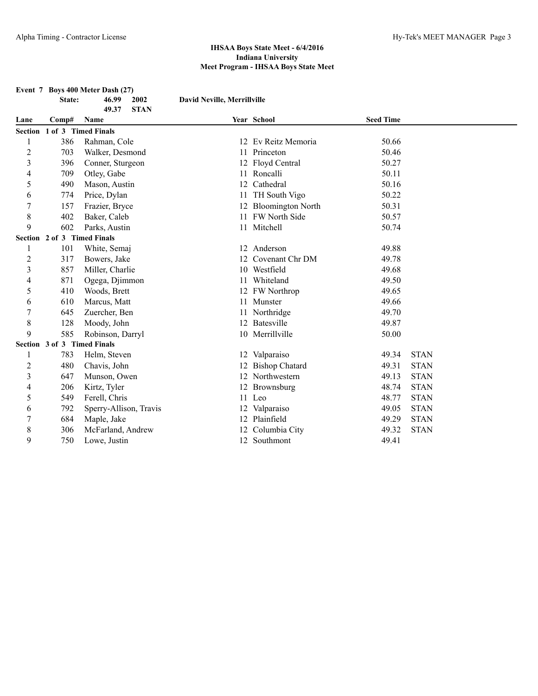**Event 7 Boys 400 Meter Dash (27) State: 46.99 2002 David Neville, Merrillville 49.37 STAN Lane Comp# Name Year School Seed Time Section 1 of 3 Timed Finals** 1 386 Rahman, Cole 12 Ev Reitz Memoria 50.66 2 703 Walker, Desmond 11 Princeton 50.46 3 396 Conner, Sturgeon 12 Floyd Central 50.27 4 709 Otley, Gabe 11 Roncalli 50.11 5 490 Mason, Austin 12 Cathedral 50.16 6 774 Price, Dylan 11 TH South Vigo 50.22 7 157 Frazier, Bryce 12 Bloomington North 50.31 8 402 Baker, Caleb 11 FW North Side 50.57 9 602 Parks, Austin 11 Mitchell 50.74 **Section 2 of 3 Timed Finals** 1 101 White, Semaj 12 Anderson 12 Anderson 49.88 2 317 Bowers, Jake 12 Covenant Chr DM 49.78 3 857 Miller, Charlie 10 Westfield 49.68 4 871 Ogega, Djimmon 11 Whiteland 49.50 5 410 Woods, Brett 12 FW Northrop 49.65 6 610 Marcus, Matt 11 Munster 11 Munster 49.66 7 645 Zuercher, Ben 11 Northridge 49.70 8 128 Moody, John 12 Batesville 49.87 9 585 Robinson, Darryl 10 Merrillville 50.00 **Section 3 of 3 Timed Finals** 1 783 Helm, Steven 12 Valparaiso 49.34 STAN 2 480 Chavis, John 12 Bishop Chatard 49.31 STAN 3 647 Munson, Owen 12 Northwestern 49.13 STAN 4 206 Kirtz, Tyler 12 Brownsburg 12 A8.74 STAN 5 549 Ferell, Chris 11 Leo 48.77 STAN 6 792 Sperry-Allison, Travis 12 Valparaiso 49.05 STAN 7 684 Maple, Jake 12 Plainfield 49.29 STAN

8 306 McFarland, Andrew 12 Columbia City 49.32 STAN

9 750 Lowe, Justin 12 Southmont 49.41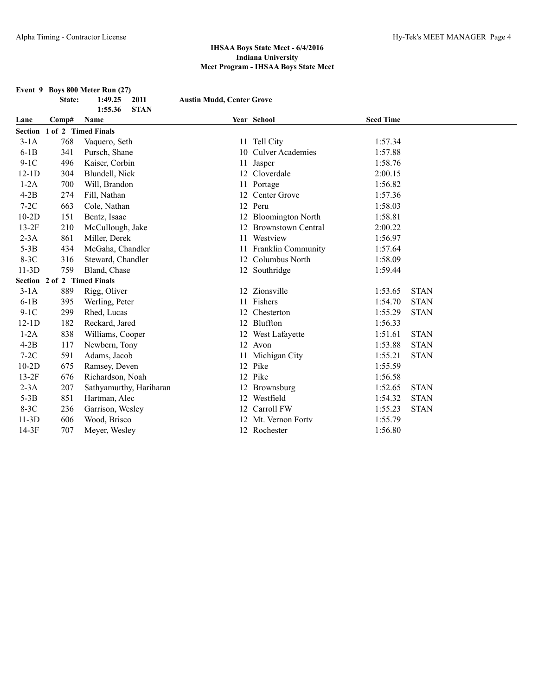|         |                             | Event 9 Boys 800 Meter Run (27) |                                  |                           |                  |             |
|---------|-----------------------------|---------------------------------|----------------------------------|---------------------------|------------------|-------------|
|         | State:                      | 2011<br>1:49.25                 | <b>Austin Mudd, Center Grove</b> |                           |                  |             |
| Lane    | Comp#                       | 1:55.36<br><b>STAN</b><br>Name  |                                  | Year School               | <b>Seed Time</b> |             |
|         | Section 1 of 2 Timed Finals |                                 |                                  |                           |                  |             |
| $3-1A$  | 768                         | Vaquero, Seth                   |                                  | 11 Tell City              | 1:57.34          |             |
| $6-1B$  | 341                         | Pursch, Shane                   |                                  | 10 Culver Academies       | 1:57.88          |             |
| $9-1C$  | 496                         | Kaiser, Corbin                  |                                  | 11 Jasper                 | 1:58.76          |             |
| $12-1D$ | 304                         | Blundell, Nick                  |                                  | 12 Cloverdale             | 2:00.15          |             |
| $1-2A$  | 700                         | Will, Brandon                   |                                  | 11 Portage                | 1:56.82          |             |
| $4-2B$  | 274                         | Fill, Nathan                    |                                  | 12 Center Grove           | 1:57.36          |             |
| $7-2C$  | 663                         | Cole, Nathan                    |                                  | 12 Peru                   | 1:58.03          |             |
| $10-2D$ | 151                         | Bentz, Isaac                    |                                  | 12 Bloomington North      | 1:58.81          |             |
| $13-2F$ | 210                         | McCullough, Jake                |                                  | 12 Brownstown Central     | 2:00.22          |             |
| $2-3A$  | 861                         | Miller, Derek                   | 11                               | Westview                  | 1:56.97          |             |
| $5-3B$  | 434                         | McGaha, Chandler                | 11                               | <b>Franklin Community</b> | 1:57.64          |             |
| $8-3C$  | 316                         | Steward, Chandler               |                                  | 12 Columbus North         | 1:58.09          |             |
| $11-3D$ | 759                         | Bland, Chase                    |                                  | 12 Southridge             | 1:59.44          |             |
|         | Section 2 of 2 Timed Finals |                                 |                                  |                           |                  |             |
| $3-1A$  | 889                         | Rigg, Oliver                    |                                  | 12 Zionsville             | 1:53.65          | <b>STAN</b> |
| $6-1B$  | 395                         | Werling, Peter                  | 11                               | Fishers                   | 1:54.70          | <b>STAN</b> |
| $9-1C$  | 299                         | Rhed, Lucas                     | 12                               | Chesterton                | 1:55.29          | <b>STAN</b> |
| $12-1D$ | 182                         | Reckard, Jared                  |                                  | 12 Bluffton               | 1:56.33          |             |
| $1-2A$  | 838                         | Williams, Cooper                |                                  | 12 West Lafayette         | 1:51.61          | <b>STAN</b> |
| $4-2B$  | 117                         | Newbern, Tony                   |                                  | 12 Avon                   | 1:53.88          | <b>STAN</b> |
| $7-2C$  | 591                         | Adams, Jacob                    |                                  | 11 Michigan City          | 1:55.21          | <b>STAN</b> |
| $10-2D$ | 675                         | Ramsey, Deven                   |                                  | 12 Pike                   | 1:55.59          |             |
| $13-2F$ | 676                         | Richardson, Noah                |                                  | 12 Pike                   | 1:56.58          |             |
| $2-3A$  | 207                         | Sathyamurthy, Hariharan         |                                  | 12 Brownsburg             | 1:52.65          | <b>STAN</b> |
| $5-3B$  | 851                         | Hartman, Alec                   |                                  | 12 Westfield              | 1:54.32          | <b>STAN</b> |
| $8-3C$  | 236                         | Garrison, Wesley                |                                  | 12 Carroll FW             | 1:55.23          | <b>STAN</b> |
| $11-3D$ | 606                         | Wood, Brisco                    | 12                               | Mt. Vernon Fortv          | 1:55.79          |             |
| $14-3F$ | 707                         | Meyer, Wesley                   |                                  | 12 Rochester              | 1:56.80          |             |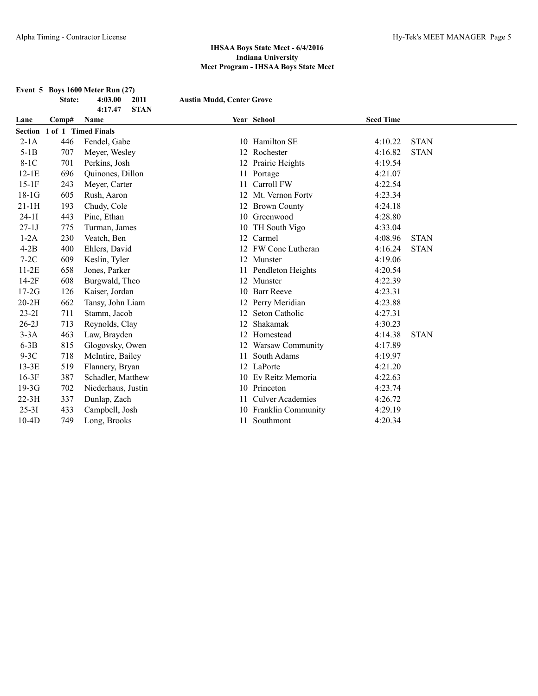|           |        | Event 5 Boys 1600 Meter Run (27) |                                  |                         |                  |             |
|-----------|--------|----------------------------------|----------------------------------|-------------------------|------------------|-------------|
|           | State: | 4:03.00<br>2011                  | <b>Austin Mudd, Center Grove</b> |                         |                  |             |
| Lane      | Comp#  | <b>STAN</b><br>4:17.47<br>Name   |                                  | Year School             | <b>Seed Time</b> |             |
|           |        | Section 1 of 1 Timed Finals      |                                  |                         |                  |             |
| $2-1A$    | 446    | Fendel, Gabe                     |                                  | 10 Hamilton SE          | 4:10.22          | <b>STAN</b> |
| $5-1B$    | 707    | Meyer, Wesley                    |                                  | 12 Rochester            | 4:16.82          | <b>STAN</b> |
| $8-1C$    | 701    | Perkins, Josh                    |                                  | 12 Prairie Heights      | 4:19.54          |             |
| $12-1E$   | 696    | Quinones, Dillon                 |                                  | 11 Portage              | 4:21.07          |             |
| $15-1F$   | 243    | Meyer, Carter                    | 11                               | Carroll FW              | 4:22.54          |             |
| $18-1G$   | 605    | Rush, Aaron                      |                                  | 12 Mt. Vernon Fortv     | 4:23.34          |             |
| $21-1H$   | 193    | Chudy, Cole                      |                                  | 12 Brown County         | 4:24.18          |             |
| $24-11$   | 443    | Pine, Ethan                      |                                  | 10 Greenwood            | 4:28.80          |             |
| $27-1J$   | 775    | Turman, James                    | 10                               | TH South Vigo           | 4:33.04          |             |
| $1-2A$    | 230    | Veatch, Ben                      |                                  | 12 Carmel               | 4:08.96          | <b>STAN</b> |
| $4-2B$    | 400    | Ehlers, David                    |                                  | 12 FW Conc Lutheran     | 4:16.24          | <b>STAN</b> |
| $7-2C$    | 609    | Keslin, Tyler                    |                                  | 12 Munster              | 4:19.06          |             |
| $11-2E$   | 658    | Jones, Parker                    |                                  | 11 Pendleton Heights    | 4:20.54          |             |
| $14-2F$   | 608    | Burgwald, Theo                   |                                  | 12 Munster              | 4:22.39          |             |
| $17-2G$   | 126    | Kaiser, Jordan                   |                                  | 10 Barr Reeve           | 4:23.31          |             |
| $20-2H$   | 662    | Tansy, John Liam                 |                                  | 12 Perry Meridian       | 4:23.88          |             |
| $23 - 21$ | 711    | Stamm, Jacob                     |                                  | 12 Seton Catholic       | 4:27.31          |             |
| $26-2J$   | 713    | Reynolds, Clay                   | 12                               | Shakamak                | 4:30.23          |             |
| $3-3A$    | 463    | Law, Brayden                     |                                  | 12 Homestead            | 4:14.38          | <b>STAN</b> |
| $6-3B$    | 815    | Glogovsky, Owen                  |                                  | 12 Warsaw Community     | 4:17.89          |             |
| $9-3C$    | 718    | McIntire, Bailey                 | 11                               | South Adams             | 4:19.97          |             |
| $13-3E$   | 519    | Flannery, Bryan                  |                                  | 12 LaPorte              | 4:21.20          |             |
| $16-3F$   | 387    | Schadler, Matthew                |                                  | 10 Ev Reitz Memoria     | 4:22.63          |             |
| $19-3G$   | 702    | Niederhaus, Justin               |                                  | 10 Princeton            | 4:23.74          |             |
| $22-3H$   | 337    | Dunlap, Zach                     | 11                               | <b>Culver Academies</b> | 4:26.72          |             |
| $25-31$   | 433    | Campbell, Josh                   | 10                               | Franklin Community      | 4:29.19          |             |
| $10-4D$   | 749    | Long, Brooks                     |                                  | 11 Southmont            | 4:20.34          |             |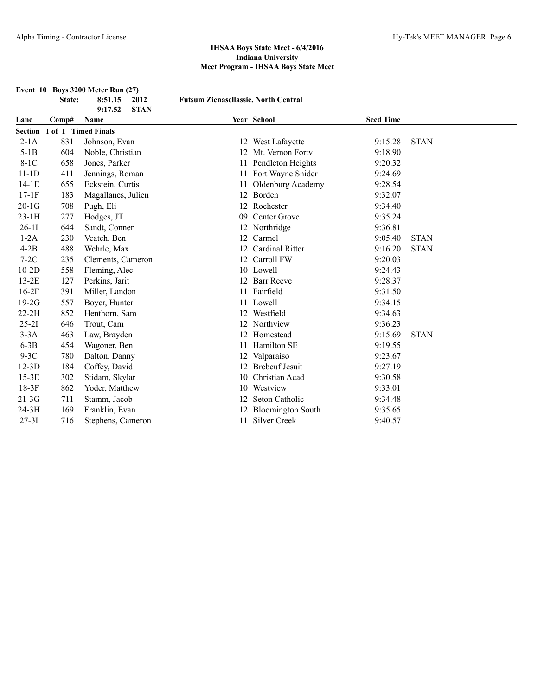|           |        | Event 10 Boys 3200 Meter Run (27) |                                             |                          |                  |             |
|-----------|--------|-----------------------------------|---------------------------------------------|--------------------------|------------------|-------------|
|           | State: | 8:51.15<br>2012                   | <b>Futsum Zienasellassie, North Central</b> |                          |                  |             |
| Lane      | Comp#  | <b>STAN</b><br>9:17.52<br>Name    |                                             | Year School              | <b>Seed Time</b> |             |
| Section   |        | 1 of 1 Timed Finals               |                                             |                          |                  |             |
| $2-1A$    | 831    | Johnson, Evan                     |                                             | 12 West Lafayette        | 9:15.28          | <b>STAN</b> |
| $5-1B$    | 604    | Noble, Christian                  | 12                                          | Mt. Vernon Forty         | 9:18.90          |             |
| $8-1C$    | 658    | Jones, Parker                     | 11                                          | Pendleton Heights        | 9:20.32          |             |
| $11-1D$   | 411    | Jennings, Roman                   | 11                                          | Fort Wayne Snider        | 9:24.69          |             |
| $14-1E$   | 655    | Eckstein, Curtis                  | 11                                          | Oldenburg Academy        | 9:28.54          |             |
| $17-1F$   | 183    | Magallanes, Julien                |                                             | 12 Borden                | 9:32.07          |             |
| $20-1G$   | 708    | Pugh, Eli                         |                                             | 12 Rochester             | 9:34.40          |             |
| $23-1H$   | 277    | Hodges, JT                        | 09                                          | Center Grove             | 9:35.24          |             |
| $26-11$   | 644    | Sandt, Conner                     |                                             | 12 Northridge            | 9:36.81          |             |
| $1-2A$    | 230    | Veatch, Ben                       | 12                                          | Carmel                   | 9:05.40          | <b>STAN</b> |
| $4-2B$    | 488    | Wehrle, Max                       | 12                                          | Cardinal Ritter          | 9:16.20          | <b>STAN</b> |
| $7-2C$    | 235    | Clements, Cameron                 |                                             | 12 Carroll FW            | 9:20.03          |             |
| $10-2D$   | 558    | Fleming, Alec                     |                                             | 10 Lowell                | 9:24.43          |             |
| $13-2E$   | 127    | Perkins, Jarit                    |                                             | 12 Barr Reeve            | 9:28.37          |             |
| $16-2F$   | 391    | Miller, Landon                    | 11                                          | Fairfield                | 9:31.50          |             |
| $19-2G$   | 557    | Boyer, Hunter                     | 11                                          | Lowell                   | 9:34.15          |             |
| $22-2H$   | 852    | Henthorn, Sam                     | 12                                          | Westfield                | 9:34.63          |             |
| $25-21$   | 646    | Trout, Cam                        | 12                                          | Northview                | 9:36.23          |             |
| $3-3A$    | 463    | Law, Brayden                      | 12                                          | Homestead                | 9:15.69          | <b>STAN</b> |
| $6-3B$    | 454    | Wagoner, Ben                      | 11                                          | Hamilton SE              | 9:19.55          |             |
| $9-3C$    | 780    | Dalton, Danny                     | 12                                          | Valparaiso               | 9:23.67          |             |
| $12-3D$   | 184    | Coffey, David                     | 12                                          | <b>Brebeuf Jesuit</b>    | 9:27.19          |             |
| $15-3E$   | 302    | Stidam, Skylar                    | 10                                          | Christian Acad           | 9:30.58          |             |
| $18-3F$   | 862    | Yoder, Matthew                    | 10                                          | Westview                 | 9:33.01          |             |
| $21-3G$   | 711    | Stamm, Jacob                      | 12                                          | Seton Catholic           | 9:34.48          |             |
| $24-3H$   | 169    | Franklin, Evan                    | 12                                          | <b>Bloomington South</b> | 9:35.65          |             |
| $27 - 31$ | 716    | Stephens, Cameron                 | 11                                          | Silver Creek             | 9:40.57          |             |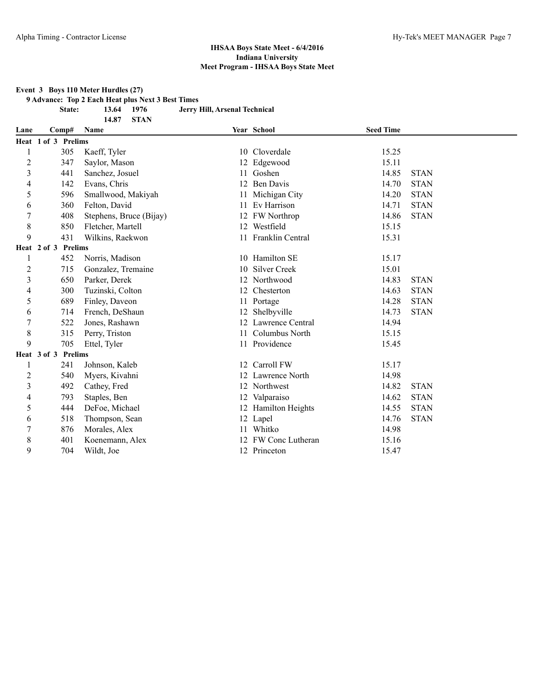**Event 3 Boys 110 Meter Hurdles (27)**

**9 Advance: Top 2 Each Heat plus Next 3 Best Times**

**State: 13.64 1976 Jerry Hill, Arsenal Technical**

|                |                     | 14.87<br><b>STAN</b>    |    |                     |                  |             |
|----------------|---------------------|-------------------------|----|---------------------|------------------|-------------|
| Lane           | Comp#               | Name                    |    | Year School         | <b>Seed Time</b> |             |
|                | Heat 1 of 3 Prelims |                         |    |                     |                  |             |
| 1              | 305                 | Kaeff, Tyler            |    | 10 Cloverdale       | 15.25            |             |
| $\overline{c}$ | 347                 | Saylor, Mason           |    | 12 Edgewood         | 15.11            |             |
| 3              | 441                 | Sanchez, Josuel         |    | 11 Goshen           | 14.85            | <b>STAN</b> |
| 4              | 142                 | Evans, Chris            |    | 12 Ben Davis        | 14.70            | <b>STAN</b> |
| 5              | 596                 | Smallwood, Makiyah      | 11 | Michigan City       | 14.20            | <b>STAN</b> |
| 6              | 360                 | Felton, David           | 11 | Ev Harrison         | 14.71            | <b>STAN</b> |
| 7              | 408                 | Stephens, Bruce (Bijay) |    | 12 FW Northrop      | 14.86            | <b>STAN</b> |
| 8              | 850                 | Fletcher, Martell       |    | 12 Westfield        | 15.15            |             |
| 9              | 431                 | Wilkins, Raekwon        |    | 11 Franklin Central | 15.31            |             |
|                | Heat 2 of 3 Prelims |                         |    |                     |                  |             |
|                | 452                 | Norris, Madison         |    | 10 Hamilton SE      | 15.17            |             |
| $\overline{c}$ | 715                 | Gonzalez, Tremaine      | 10 | Silver Creek        | 15.01            |             |
| 3              | 650                 | Parker, Derek           |    | 12 Northwood        | 14.83            | <b>STAN</b> |
| 4              | 300                 | Tuzinski, Colton        |    | 12 Chesterton       | 14.63            | <b>STAN</b> |
| 5              | 689                 | Finley, Daveon          |    | 11 Portage          | 14.28            | <b>STAN</b> |
| 6              | 714                 | French, DeShaun         |    | 12 Shelbyville      | 14.73            | <b>STAN</b> |
| $\overline{7}$ | 522                 | Jones, Rashawn          |    | 12 Lawrence Central | 14.94            |             |
| 8              | 315                 | Perry, Triston          | 11 | Columbus North      | 15.15            |             |
| 9              | 705                 | Ettel, Tyler            |    | 11 Providence       | 15.45            |             |
|                | Heat 3 of 3 Prelims |                         |    |                     |                  |             |
|                | 241                 | Johnson, Kaleb          |    | 12 Carroll FW       | 15.17            |             |
| 2              | 540                 | Myers, Kivahni          |    | 12 Lawrence North   | 14.98            |             |
| 3              | 492                 | Cathey, Fred            |    | 12 Northwest        | 14.82            | <b>STAN</b> |
| 4              | 793                 | Staples, Ben            |    | 12 Valparaiso       | 14.62            | <b>STAN</b> |
| 5              | 444                 | DeFoe, Michael          |    | 12 Hamilton Heights | 14.55            | <b>STAN</b> |
| 6              | 518                 | Thompson, Sean          |    | 12 Lapel            | 14.76            | <b>STAN</b> |
| 7              | 876                 | Morales, Alex           | 11 | Whitko              | 14.98            |             |
| 8              | 401                 | Koenemann, Alex         |    | 12 FW Conc Lutheran | 15.16            |             |
| 9              | 704                 | Wildt, Joe              |    | 12 Princeton        | 15.47            |             |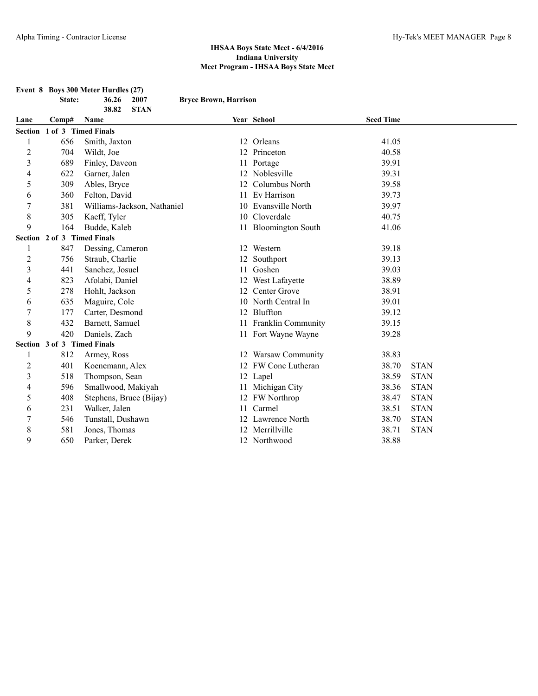|                |                             | Event 8 Boys 300 Meter Hurdles (27) |                              |                       |                  |             |
|----------------|-----------------------------|-------------------------------------|------------------------------|-----------------------|------------------|-------------|
|                | State:                      | 2007<br>36.26                       | <b>Bryce Brown, Harrison</b> |                       |                  |             |
|                |                             | 38.82<br><b>STAN</b>                |                              |                       |                  |             |
| Lane           | Comp#                       | <b>Name</b>                         |                              | Year School           | <b>Seed Time</b> |             |
|                | Section 1 of 3 Timed Finals |                                     |                              |                       |                  |             |
| 1              | 656                         | Smith, Jaxton                       |                              | 12 Orleans            | 41.05            |             |
| $\overline{2}$ | 704                         | Wildt, Joe                          |                              | 12 Princeton          | 40.58            |             |
| $\overline{3}$ | 689                         | Finley, Daveon                      |                              | 11 Portage            | 39.91            |             |
| 4              | 622                         | Garner, Jalen                       |                              | 12 Noblesville        | 39.31            |             |
| 5              | 309                         | Ables, Bryce                        |                              | 12 Columbus North     | 39.58            |             |
| 6              | 360                         | Felton, David                       |                              | 11 Ev Harrison        | 39.73            |             |
| 7              | 381                         | Williams-Jackson, Nathaniel         |                              | 10 Evansville North   | 39.97            |             |
| 8              | 305                         | Kaeff, Tyler                        |                              | 10 Cloverdale         | 40.75            |             |
| 9              | 164                         | Budde, Kaleb                        |                              | 11 Bloomington South  | 41.06            |             |
|                | Section 2 of 3 Timed Finals |                                     |                              |                       |                  |             |
| 1              | 847                         | Dessing, Cameron                    |                              | 12 Western            | 39.18            |             |
| $\overline{c}$ | 756                         | Straub, Charlie                     |                              | 12 Southport          | 39.13            |             |
| $\mathfrak{Z}$ | 441                         | Sanchez, Josuel                     |                              | 11 Goshen             | 39.03            |             |
| 4              | 823                         | Afolabi, Daniel                     |                              | 12 West Lafayette     | 38.89            |             |
| 5              | 278                         | Hohlt, Jackson                      |                              | 12 Center Grove       | 38.91            |             |
| 6              | 635                         | Maguire, Cole                       |                              | 10 North Central In   | 39.01            |             |
| 7              | 177                         | Carter, Desmond                     |                              | 12 Bluffton           | 39.12            |             |
| 8              | 432                         | Barnett, Samuel                     |                              | 11 Franklin Community | 39.15            |             |
| 9              | 420                         | Daniels, Zach                       |                              | 11 Fort Wayne Wayne   | 39.28            |             |
|                | Section 3 of 3 Timed Finals |                                     |                              |                       |                  |             |
| 1              | 812                         | Armey, Ross                         |                              | 12 Warsaw Community   | 38.83            |             |
| $\overline{2}$ | 401                         | Koenemann, Alex                     |                              | 12 FW Conc Lutheran   | 38.70            | <b>STAN</b> |
| 3              | 518                         | Thompson, Sean                      |                              | 12 Lapel              | 38.59            | <b>STAN</b> |
| 4              | 596                         | Smallwood, Makiyah                  |                              | 11 Michigan City      | 38.36            | <b>STAN</b> |
| 5              | 408                         | Stephens, Bruce (Bijay)             |                              | 12 FW Northrop        | 38.47            | <b>STAN</b> |
| 6              | 231                         | Walker, Jalen                       |                              | 11 Carmel             | 38.51            | <b>STAN</b> |
| 7              | 546                         | Tunstall, Dushawn                   |                              | 12 Lawrence North     | 38.70            | <b>STAN</b> |
| $\,$ 8 $\,$    | 581                         | Jones, Thomas                       |                              | 12 Merrillville       | 38.71            | <b>STAN</b> |
| 9              | 650                         | Parker, Derek                       |                              | 12 Northwood          | 38.88            |             |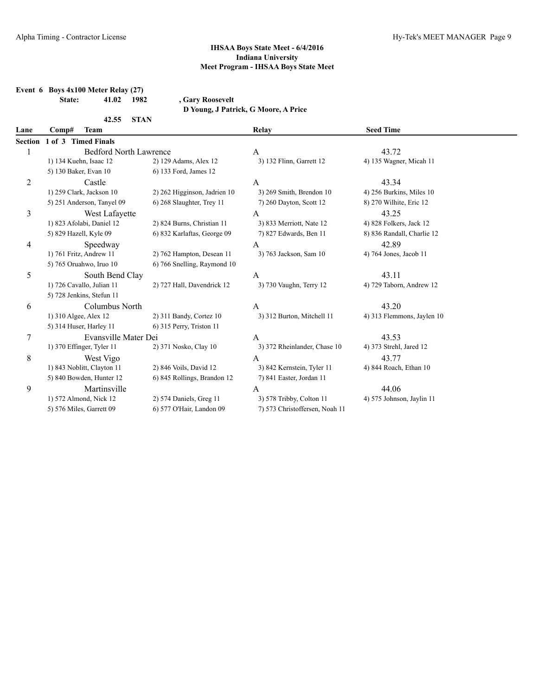# **Event 6 Boys 4x100 Meter Relay (27) State: 41.02 1982 , Gary Roosevelt**

**42.55 STAN**

**D Young, J Patrick, G Moore, A Price**

| Lane    | Comp#<br><b>Team</b>          |                              | Relay                          | <b>Seed Time</b>           |  |
|---------|-------------------------------|------------------------------|--------------------------------|----------------------------|--|
| Section | 1 of 3 Timed Finals           |                              |                                |                            |  |
|         | <b>Bedford North Lawrence</b> |                              | A                              | 43.72                      |  |
|         | 1) 134 Kuehn, Isaac 12        | 2) 129 Adams, Alex 12        | 3) 132 Flinn, Garrett 12       | 4) 135 Wagner, Micah 11    |  |
|         | 5) 130 Baker, Evan 10         | 6) 133 Ford, James 12        |                                |                            |  |
| 2       | Castle                        |                              | A                              | 43.34                      |  |
|         | 1) 259 Clark, Jackson 10      | 2) 262 Higginson, Jadrien 10 | 3) 269 Smith, Brendon 10       | 4) 256 Burkins, Miles 10   |  |
|         | 5) 251 Anderson, Tanyel 09    | 6) 268 Slaughter, Trey 11    | 7) 260 Dayton, Scott 12        | 8) 270 Wilhite, Eric 12    |  |
| 3       | West Lafayette                |                              | $\mathsf{A}$                   | 43.25                      |  |
|         | 1) 823 Afolabi, Daniel 12     | 2) 824 Burns, Christian 11   | 3) 833 Merriott, Nate 12       | 4) 828 Folkers, Jack 12    |  |
|         | 5) 829 Hazell, Kyle 09        | 6) 832 Karlaftas, George 09  | 7) 827 Edwards, Ben 11         | 8) 836 Randall, Charlie 12 |  |
| 4       | Speedway                      |                              | A                              | 42.89                      |  |
|         | 1) 761 Fritz, Andrew 11       | 2) 762 Hampton, Desean 11    | 3) 763 Jackson, Sam 10         | 4) 764 Jones, Jacob 11     |  |
|         | 5) 765 Oruahwo, Iruo 10       | 6) 766 Snelling, Raymond 10  |                                |                            |  |
| 5       | South Bend Clay               |                              | A                              | 43.11                      |  |
|         | 1) 726 Cavallo, Julian 11     | 2) 727 Hall, Davendrick 12   | 3) 730 Vaughn, Terry 12        | 4) 729 Taborn, Andrew 12   |  |
|         | 5) 728 Jenkins, Stefun 11     |                              |                                |                            |  |
| 6       | Columbus North                |                              | A                              | 43.20                      |  |
|         | 1) 310 Algee, Alex 12         | 2) 311 Bandy, Cortez 10      | 3) 312 Burton, Mitchell 11     | 4) 313 Flemmons, Jaylen 10 |  |
|         | 5) 314 Huser, Harley 11       | 6) 315 Perry, Triston 11     |                                |                            |  |
| 7       | Evansville Mater Dei          |                              | A                              | 43.53                      |  |
|         | 1) 370 Effinger, Tyler 11     | 2) 371 Nosko, Clay 10        | 3) 372 Rheinlander, Chase 10   | 4) 373 Strehl, Jared 12    |  |
| 8       | West Vigo                     |                              | А                              | 43.77                      |  |
|         | 1) 843 Noblitt, Clayton 11    | 2) 846 Voils, David 12       | 3) 842 Kernstein, Tyler 11     | 4) 844 Roach, Ethan 10     |  |
|         | 5) 840 Bowden, Hunter 12      | 6) 845 Rollings, Brandon 12  | 7) 841 Easter, Jordan 11       |                            |  |
| 9       | Martinsville                  |                              | A                              | 44.06                      |  |
|         | 1) 572 Almond, Nick 12        | 2) 574 Daniels, Greg 11      | 3) 578 Tribby, Colton 11       | 4) 575 Johnson, Jaylin 11  |  |
|         | 5) 576 Miles, Garrett 09      | 6) 577 O'Hair, Landon 09     | 7) 573 Christoffersen, Noah 11 |                            |  |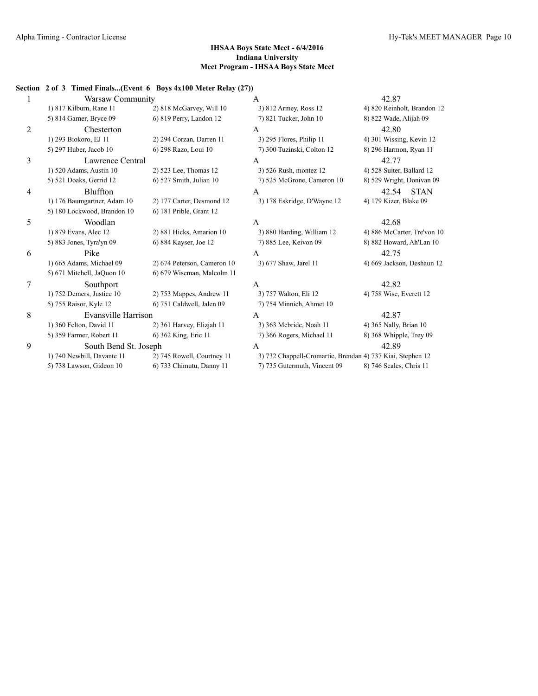## **Section 2 of 3 Timed Finals...(Event 6 Boys 4x100 Meter Relay (27))**

| 1              | Warsaw Community            |                             | A                                                          | 42.87                       |
|----------------|-----------------------------|-----------------------------|------------------------------------------------------------|-----------------------------|
|                | 1) 817 Kilburn, Rane 11     | 2) 818 McGarvey, Will 10    | 3) 812 Armey, Ross 12                                      | 4) 820 Reinholt, Brandon 12 |
|                | 5) 814 Garner, Bryce 09     | 6) 819 Perry, Landon 12     | 7) 821 Tucker, John 10                                     | 8) 822 Wade, Alijah 09      |
| $\overline{2}$ | Chesterton                  |                             | A                                                          | 42.80                       |
|                | 1) 293 Biokoro, EJ 11       | 2) 294 Corzan, Darren 11    | 3) 295 Flores, Philip 11                                   | 4) 301 Wissing, Kevin 12    |
|                | 5) 297 Huber, Jacob 10      | 6) 298 Razo, Loui 10        | 7) 300 Tuzinski, Colton 12                                 | 8) 296 Harmon, Ryan 11      |
| 3              | Lawrence Central            |                             | A                                                          | 42.77                       |
|                | 1) 520 Adams, Austin 10     | 2) 523 Lee, Thomas 12       | 3) 526 Rush, montez 12                                     | 4) 528 Suiter, Ballard 12   |
|                | 5) 521 Doaks, Gerrid 12     | 6) 527 Smith, Julian 10     | 7) 525 McGrone, Cameron 10                                 | 8) 529 Wright, Donivan 09   |
| $\overline{4}$ | Bluffton                    |                             | A                                                          | 42.54<br><b>STAN</b>        |
|                | 1) 176 Baumgartner, Adam 10 | 2) 177 Carter, Desmond 12   | 3) 178 Eskridge, D'Wayne 12                                | 4) 179 Kizer, Blake 09      |
|                | 5) 180 Lockwood, Brandon 10 | 6) 181 Prible, Grant 12     |                                                            |                             |
| 5              | Woodlan                     |                             | A                                                          | 42.68                       |
|                | 1) 879 Evans, Alec 12       | 2) 881 Hicks, Amarion 10    | 3) 880 Harding, William 12                                 | 4) 886 McCarter, Tre'von 10 |
|                | 5) 883 Jones, Tyra'yn 09    | 6) 884 Kayser, Joe 12       | 7) 885 Lee, Keivon 09                                      | 8) 882 Howard, Ah'Lan 10    |
| 6              | Pike                        |                             | A                                                          | 42.75                       |
|                | 1) 665 Adams, Michael 09    | 2) 674 Peterson, Cameron 10 | 3) 677 Shaw, Jarel 11                                      | 4) 669 Jackson, Deshaun 12  |
|                | 5) 671 Mitchell, JaQuon 10  | 6) 679 Wiseman, Malcolm 11  |                                                            |                             |
| 7              | Southport                   |                             | $\mathsf{A}$                                               | 42.82                       |
|                | 1) 752 Demers, Justice 10   | 2) 753 Mappes, Andrew 11    | 3) 757 Walton, Eli 12                                      | 4) 758 Wise, Everett 12     |
|                | 5) 755 Raisor, Kyle 12      | 6) 751 Caldwell, Jalen 09   | 7) 754 Minnich, Ahmet 10                                   |                             |
| 8              | Evansville Harrison         |                             | A                                                          | 42.87                       |
|                | 1) 360 Felton, David 11     | 2) 361 Harvey, Elizjah 11   | 3) 363 Mcbride, Noah 11                                    | 4) 365 Nally, Brian 10      |
|                | 5) 359 Farmer, Robert 11    | 6) 362 King, Eric 11        | 7) 366 Rogers, Michael 11                                  | 8) 368 Whipple, Trey 09     |
| 9              | South Bend St. Joseph       |                             | A                                                          | 42.89                       |
|                | 1) 740 Newbill, Davante 11  | 2) 745 Rowell, Courtney 11  | 3) 732 Chappell-Cromartie, Brendan 4) 737 Kiai, Stephen 12 |                             |
|                | 5) 738 Lawson, Gideon 10    | 6) 733 Chimutu, Danny 11    | 7) 735 Gutermuth, Vincent 09                               | 8) 746 Scales, Chris 11     |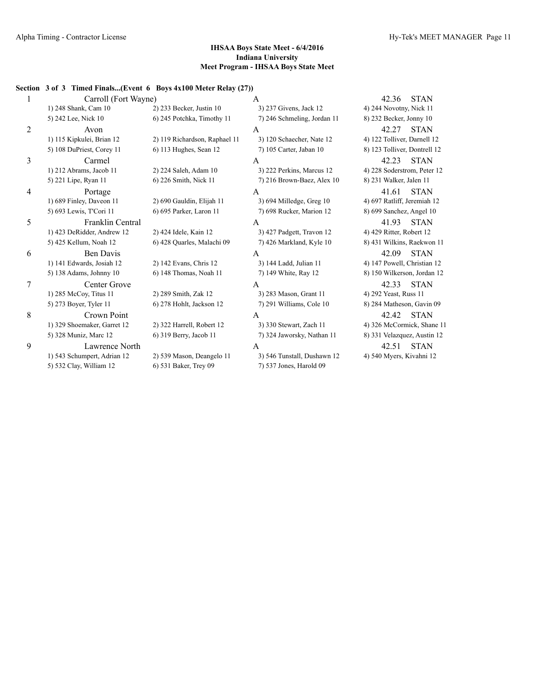## **Section 3 of 3 Timed Finals...(Event 6 Boys 4x100 Meter Relay (27))**

| 1 | Carroll (Fort Wayne)        |                               | A                           | 42.36<br><b>STAN</b>         |
|---|-----------------------------|-------------------------------|-----------------------------|------------------------------|
|   | 1) 248 Shank, Cam 10        | $2)$ 233 Becker, Justin 10    | 3) 237 Givens, Jack 12      | 4) 244 Novotny, Nick 11      |
|   | 5) 242 Lee, Nick 10         | 6) 245 Potchka, Timothy 11    | 7) 246 Schmeling, Jordan 11 | 8) 232 Becker, Jonny 10      |
| 2 | Avon                        |                               | $\mathsf{A}$                | 42.27<br><b>STAN</b>         |
|   | 1) 115 Kipkulei, Brian 12   | 2) 119 Richardson, Raphael 11 | 3) 120 Schaecher, Nate 12   | 4) 122 Tolliver, Darnell 12  |
|   | 5) 108 DuPriest, Corey 11   | 6) 113 Hughes, Sean 12        | 7) 105 Carter, Jaban 10     | 8) 123 Tolliver, Dontrell 12 |
| 3 | Carmel                      |                               | A                           | <b>STAN</b><br>42.23         |
|   | 1) 212 Abrams, Jacob 11     | 2) 224 Saleh, Adam 10         | 3) 222 Perkins, Marcus 12   | 4) 228 Soderstrom, Peter 12  |
|   | 5) 221 Lipe, Ryan 11        | 6) 226 Smith, Nick 11         | 7) 216 Brown-Baez, Alex 10  | 8) 231 Walker, Jalen 11      |
| 4 | Portage                     |                               | A                           | 41.61<br><b>STAN</b>         |
|   | 1) 689 Finley, Daveon 11    | 2) 690 Gauldin, Elijah 11     | 3) 694 Milledge, Greg 10    | 4) 697 Ratliff, Jeremiah 12  |
|   | 5) 693 Lewis, T'Cori 11     | 6) 695 Parker, Laron 11       | 7) 698 Rucker, Marion 12    | 8) 699 Sanchez, Angel 10     |
| 5 | Franklin Central            |                               | A                           | <b>STAN</b><br>41.93         |
|   | 1) 423 DeRidder, Andrew 12  | 2) 424 Idele, Kain 12         | 3) 427 Padgett, Travon 12   | 4) 429 Ritter, Robert 12     |
|   | 5) 425 Kellum, Noah 12      | 6) 428 Quarles, Malachi 09    | 7) 426 Markland, Kyle 10    | 8) 431 Wilkins, Raekwon 11   |
| 6 | Ben Davis                   |                               | A                           | <b>STAN</b><br>42.09         |
|   | 1) 141 Edwards, Josiah 12   | 2) 142 Evans, Chris 12        | 3) 144 Ladd, Julian 11      | 4) 147 Powell, Christian 12  |
|   | 5) 138 Adams, Johnny 10     | 6) 148 Thomas, Noah 11        | 7) 149 White, Ray 12        | 8) 150 Wilkerson, Jordan 12  |
| 7 | Center Grove                |                               | A                           | <b>STAN</b><br>42.33         |
|   | 1) 285 McCoy, Titus 11      | 2) 289 Smith, Zak 12          | 3) 283 Mason, Grant 11      | 4) 292 Yeast, Russ 11        |
|   | 5) 273 Boyer, Tyler 11      | 6) 278 Hohlt, Jackson 12      | 7) 291 Williams, Cole 10    | 8) 284 Matheson, Gavin 09    |
| 8 | Crown Point                 |                               | A                           | 42.42<br><b>STAN</b>         |
|   | 1) 329 Shoemaker, Garret 12 | 2) 322 Harrell, Robert 12     | 3) 330 Stewart, Zach 11     | 4) 326 McCormick, Shane 11   |
|   | 5) 328 Muniz, Marc 12       | 6) 319 Berry, Jacob 11        | 7) 324 Jaworsky, Nathan 11  | 8) 331 Velazquez, Austin 12  |
| 9 | Lawrence North              |                               | A                           | 42.51<br><b>STAN</b>         |
|   | 1) 543 Schumpert, Adrian 12 | 2) 539 Mason, Deangelo 11     | 3) 546 Tunstall, Dushawn 12 | 4) 540 Myers, Kivahni 12     |
|   | 5) 532 Clay, William 12     | 6) 531 Baker, Trey 09         | 7) 537 Jones, Harold 09     |                              |
|   |                             |                               |                             |                              |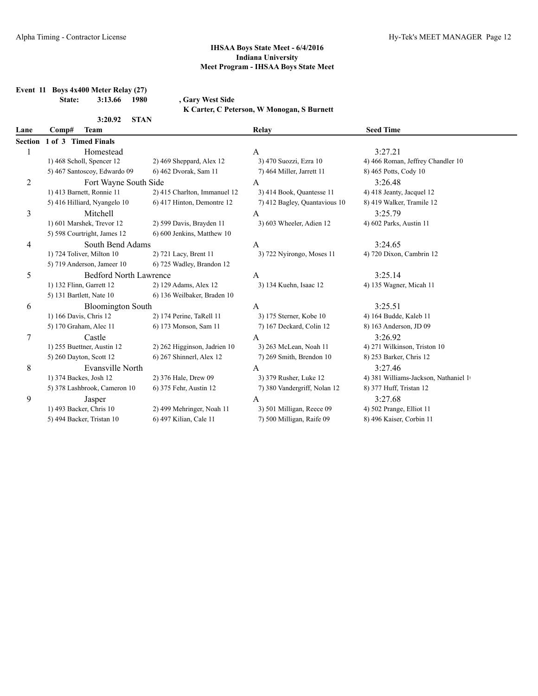**Event 11 Boys 4x400 Meter Relay (27)**

**State: 3:13.66 1980 , Gary West Side**

**K Carter, C Peterson, W Monogan, S Burnett**

|                | <b>STAN</b><br>3:20.92        |                              |                               |                                      |
|----------------|-------------------------------|------------------------------|-------------------------------|--------------------------------------|
| Lane           | <b>Team</b><br>Comp#          |                              | Relay                         | <b>Seed Time</b>                     |
| Section        | 1 of 3 Timed Finals           |                              |                               |                                      |
| 1              | Homestead                     |                              | A                             | 3:27.21                              |
|                | 1) 468 Scholl, Spencer 12     | $2)$ 469 Sheppard, Alex 12   | 3) 470 Suozzi, Ezra 10        | 4) 466 Roman, Jeffrey Chandler 10    |
|                | 5) 467 Santoscoy, Edwardo 09  | 6) 462 Dvorak, Sam 11        | 7) 464 Miller, Jarrett 11     | 8) 465 Potts, Cody 10                |
| $\overline{2}$ | Fort Wayne South Side         |                              | A                             | 3:26.48                              |
|                | 1) 413 Barnett, Ronnie 11     | 2) 415 Charlton, Immanuel 12 | 3) 414 Book, Quantesse 11     | 4) 418 Jeanty, Jacquel 12            |
|                | 5) 416 Hilliard, Nyangelo 10  | 6) 417 Hinton, Demontre 12   | 7) 412 Bagley, Quantavious 10 | 8) 419 Walker, Tramile 12            |
| 3              | Mitchell                      |                              | A                             | 3:25.79                              |
|                | 1) 601 Marshek, Trevor 12     | 2) 599 Davis, Brayden 11     | 3) 603 Wheeler, Adien 12      | 4) 602 Parks, Austin 11              |
|                | 5) 598 Courtright, James 12   | 6) 600 Jenkins, Matthew 10   |                               |                                      |
| 4              | South Bend Adams              |                              | $\mathbf{A}$                  | 3:24.65                              |
|                | 1) 724 Toliver, Milton 10     | 2) 721 Lacy, Brent 11        | 3) 722 Nyirongo, Moses 11     | 4) 720 Dixon, Cambrin 12             |
|                | 5) 719 Anderson, Jameer 10    | 6) 725 Wadley, Brandon 12    |                               |                                      |
| 5              | <b>Bedford North Lawrence</b> |                              | A                             | 3:25.14                              |
|                | 1) 132 Flinn, Garrett 12      | 2) 129 Adams, Alex 12        | 3) 134 Kuehn, Isaac 12        | 4) 135 Wagner, Micah 11              |
|                | 5) 131 Bartlett, Nate 10      | 6) 136 Weilbaker, Braden 10  |                               |                                      |
| 6              | <b>Bloomington South</b>      |                              | A                             | 3:25.51                              |
|                | 1) 166 Davis, Chris 12        | 2) 174 Perine, TaRell 11     | 3) 175 Sterner, Kobe 10       | 4) 164 Budde, Kaleb 11               |
|                | 5) 170 Graham, Alec 11        | 6) 173 Monson, Sam 11        | 7) 167 Deckard, Colin 12      | 8) 163 Anderson, JD 09               |
| 7              | Castle                        |                              | $\overline{A}$                | 3:26.92                              |
|                | 1) 255 Buettner, Austin 12    | 2) 262 Higginson, Jadrien 10 | 3) 263 McLean, Noah 11        | 4) 271 Wilkinson, Triston 10         |
|                | 5) 260 Dayton, Scott 12       | 6) 267 Shinnerl, Alex 12     | 7) 269 Smith, Brendon 10      | 8) 253 Barker, Chris 12              |
| 8              | Evansville North              |                              | A                             | 3:27.46                              |
|                | 1) 374 Backes, Josh 12        | 2) 376 Hale, Drew 09         | 3) 379 Rusher, Luke 12        | 4) 381 Williams-Jackson, Nathaniel 1 |
|                | 5) 378 Lashbrook, Cameron 10  | 6) 375 Fehr, Austin 12       | 7) 380 Vandergriff, Nolan 12  | 8) 377 Huff, Tristan 12              |
| 9              | Jasper                        |                              | $\mathbf{A}$                  | 3:27.68                              |
|                | 1) 493 Backer, Chris 10       | 2) 499 Mehringer, Noah 11    | 3) 501 Milligan, Reece 09     | 4) 502 Prange, Elliot 11             |
|                | 5) 494 Backer, Tristan 10     | 6) 497 Kilian, Cale 11       | 7) 500 Milligan, Raife 09     | 8) 496 Kaiser, Corbin 11             |
|                |                               |                              |                               |                                      |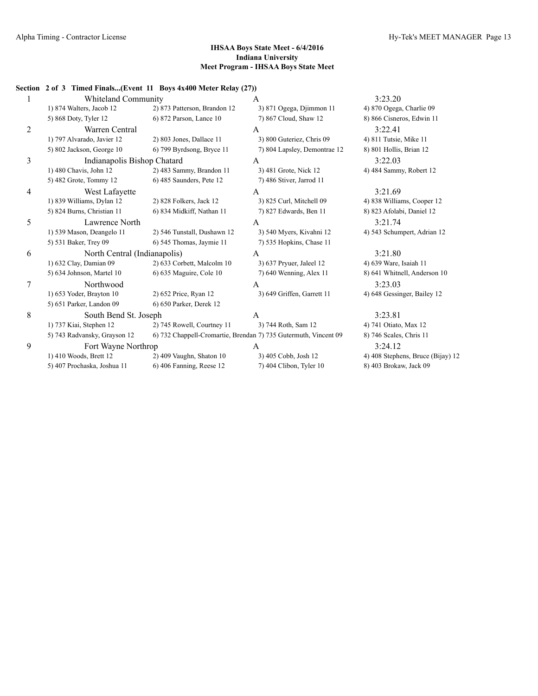| 1 | Whiteland Community          |                              | $\mathbf{A}$                                                    | 3:23.20                           |
|---|------------------------------|------------------------------|-----------------------------------------------------------------|-----------------------------------|
|   | 1) 874 Walters, Jacob 12     | 2) 873 Patterson, Brandon 12 | 3) 871 Ogega, Djimmon 11                                        | 4) 870 Ogega, Charlie 09          |
|   | 5) 868 Doty, Tyler 12        | 6) 872 Parson, Lance 10      | 7) 867 Cloud, Shaw 12                                           | 8) 866 Cisneros, Edwin 11         |
| 2 | Warren Central               |                              | A                                                               | 3:22.41                           |
|   | 1) 797 Alvarado, Javier 12   | 2) 803 Jones, Dallace 11     | 3) 800 Guteriez, Chris 09                                       | 4) 811 Tutsie, Mike 11            |
|   | 5) 802 Jackson, George 10    | 6) 799 Byrdsong, Bryce 11    | 7) 804 Lapsley, Demontrae 12                                    | 8) 801 Hollis, Brian 12           |
| 3 | Indianapolis Bishop Chatard  |                              | $\mathsf{A}$                                                    | 3:22.03                           |
|   | 1) 480 Chavis, John 12       | 2) 483 Sammy, Brandon 11     | 3) 481 Grote, Nick 12                                           | 4) 484 Sammy, Robert 12           |
|   | 5) 482 Grote, Tommy 12       | 6) 485 Saunders, Pete 12     | 7) 486 Stiver, Jarrod 11                                        |                                   |
| 4 | West Lafayette               |                              | $\mathsf{A}$                                                    | 3:21.69                           |
|   | 1) 839 Williams, Dylan 12    | 2) 828 Folkers, Jack 12      | 3) 825 Curl, Mitchell 09                                        | 4) 838 Williams, Cooper 12        |
|   | 5) 824 Burns, Christian 11   | 6) 834 Midkiff, Nathan 11    | 7) 827 Edwards, Ben 11                                          | 8) 823 Afolabi, Daniel 12         |
| 5 | Lawrence North               |                              | $\mathsf{A}$                                                    | 3:21.74                           |
|   | 1) 539 Mason, Deangelo 11    | 2) 546 Tunstall, Dushawn 12  | 3) 540 Myers, Kivahni 12                                        | 4) 543 Schumpert, Adrian 12       |
|   | 5) 531 Baker, Trey 09        | 6) 545 Thomas, Jaymie 11     | 7) 535 Hopkins, Chase 11                                        |                                   |
| 6 | North Central (Indianapolis) |                              | A                                                               | 3:21.80                           |
|   | 1) 632 Clay, Damian 09       | 2) 633 Corbett, Malcolm 10   | 3) 637 Pryuer, Jaleel 12                                        | 4) 639 Ware, Isaiah 11            |
|   | 5) 634 Johnson, Martel 10    | 6) 635 Maguire, Cole 10      | 7) 640 Wenning, Alex 11                                         | 8) 641 Whitnell, Anderson 10      |
| 7 | Northwood                    |                              | A                                                               | 3:23.03                           |
|   | 1) 653 Yoder, Brayton 10     | 2) 652 Price, Ryan 12        | 3) 649 Griffen, Garrett 11                                      | 4) 648 Gessinger, Bailey 12       |
|   | 5) 651 Parker, Landon 09     | 6) 650 Parker, Derek 12      |                                                                 |                                   |
| 8 | South Bend St. Joseph        |                              | A                                                               | 3:23.81                           |
|   | 1) 737 Kiai, Stephen 12      | 2) 745 Rowell, Courtney 11   | 3) 744 Roth, Sam 12                                             | 4) 741 Otiato, Max 12             |
|   | 5) 743 Radvansky, Grayson 12 |                              | 6) 732 Chappell-Cromartie, Brendan 7) 735 Gutermuth, Vincent 09 | 8) 746 Scales, Chris 11           |
| 9 | Fort Wayne Northrop          |                              | A                                                               | 3:24.12                           |
|   | 1) 410 Woods, Brett 12       | 2) 409 Vaughn, Shaton 10     | 3) 405 Cobb, Josh 12                                            | 4) 408 Stephens, Bruce (Bijay) 12 |
|   | 5) 407 Prochaska, Joshua 11  | $6$ ) 406 Fanning, Reese 12  | 7) 404 Clibon, Tyler 10                                         | 8) 403 Brokaw, Jack 09            |

# **Section 2 of 3 Timed Finals...(Event 11 Boys 4x400 Meter Relay (27))**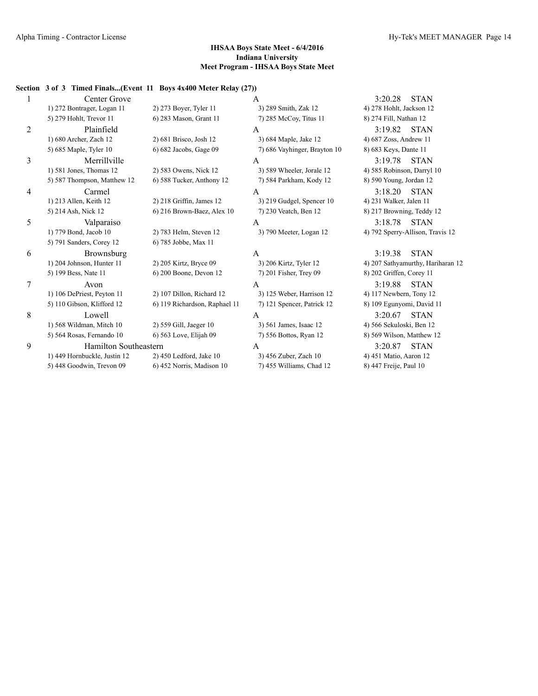## **Section 3 of 3 Timed Finals...(Event 11 Boys 4x400 Meter Relay (27))**

|   | Center Grove                 |                               | A                            | <b>STAN</b><br>3:20.28            |
|---|------------------------------|-------------------------------|------------------------------|-----------------------------------|
|   | 1) 272 Bontrager, Logan 11   | 2) 273 Boyer, Tyler 11        | 3) 289 Smith, Zak 12         | 4) 278 Hohlt, Jackson 12          |
|   | 5) 279 Hohlt, Trevor 11      | 6) 283 Mason, Grant 11        | 7) 285 McCoy, Titus 11       | 8) 274 Fill, Nathan 12            |
| 2 | Plainfield                   |                               | A                            | <b>STAN</b><br>3:19.82            |
|   | 1) 680 Archer, Zach 12       | 2) 681 Brisco, Josh 12        | 3) 684 Maple, Jake 12        | 4) 687 Zoss, Andrew 11            |
|   | 5) 685 Maple, Tyler 10       | 6) 682 Jacobs, Gage 09        | 7) 686 Vayhinger, Brayton 10 | 8) 683 Keys, Dante 11             |
| 3 | Merrillville                 |                               | A                            | 3:19.78<br><b>STAN</b>            |
|   | 1) 581 Jones, Thomas 12      | 2) 583 Owens, Nick 12         | 3) 589 Wheeler, Jorale 12    | 4) 585 Robinson, Darryl 10        |
|   | 5) 587 Thompson, Matthew 12  | 6) 588 Tucker, Anthony 12     | 7) 584 Parkham, Kody 12      | 8) 590 Young, Jordan 12           |
| 4 | Carmel                       |                               | A                            | 3:18.20<br><b>STAN</b>            |
|   | 1) 213 Allen, Keith 12       | $2)$ 218 Griffin, James 12    | 3) 219 Gudgel, Spencer 10    | 4) 231 Walker, Jalen 11           |
|   | 5) 214 Ash, Nick 12          | 6) 216 Brown-Baez, Alex 10    | 7) 230 Veatch, Ben 12        | 8) 217 Browning, Teddy 12         |
| 5 | Valparaiso                   |                               | A                            | 3:18.78<br><b>STAN</b>            |
|   | 1) 779 Bond, Jacob 10        | 2) 783 Helm, Steven 12        | 3) 790 Meeter, Logan 12      | 4) 792 Sperry-Allison, Travis 12  |
|   | 5) 791 Sanders, Corey 12     | 6) 785 Jobbe, Max 11          |                              |                                   |
| 6 | Brownsburg                   |                               | $\overline{A}$               | 3:19.38<br><b>STAN</b>            |
|   | 1) 204 Johnson, Hunter 11    | 2) 205 Kirtz, Bryce 09        | 3) 206 Kirtz, Tyler 12       | 4) 207 Sathyamurthy, Hariharan 12 |
|   | 5) 199 Bess, Nate 11         | 6) 200 Boone, Devon 12        | 7) 201 Fisher, Trey 09       | 8) 202 Griffen, Corey 11          |
| 7 | Avon                         |                               | A                            | 3:19.88<br><b>STAN</b>            |
|   | 1) 106 DePriest, Peyton 11   | 2) 107 Dillon, Richard 12     | 3) 125 Weber, Harrison 12    | 4) 117 Newbern, Tony 12           |
|   | 5) 110 Gibson, Klifford 12   | 6) 119 Richardson, Raphael 11 | 7) 121 Spencer, Patrick 12   | 8) 109 Egunyomi, David 11         |
| 8 | Lowell                       |                               | А                            | <b>STAN</b><br>3:20.67            |
|   | 1) 568 Wildman, Mitch 10     | 2) 559 Gill, Jaeger 10        | 3) 561 James, Isaac 12       | 4) 566 Sekuloski, Ben 12          |
|   | 5) 564 Rosas, Fernando 10    | 6) 563 Love, Elijah 09        | 7) 556 Bottos, Ryan 12       | 8) 569 Wilson, Matthew 12         |
| 9 | Hamilton Southeastern        |                               | A                            | <b>STAN</b><br>3:20.87            |
|   | 1) 449 Hornbuckle, Justin 12 | 2) 450 Ledford, Jake 10       | 3) 456 Zuber, Zach 10        | 4) 451 Matio, Aaron 12            |
|   | 5) 448 Goodwin, Trevon 09    | 6) 452 Norris, Madison 10     | 7) 455 Williams, Chad 12     | 8) 447 Freije, Paul 10            |
|   |                              |                               |                              |                                   |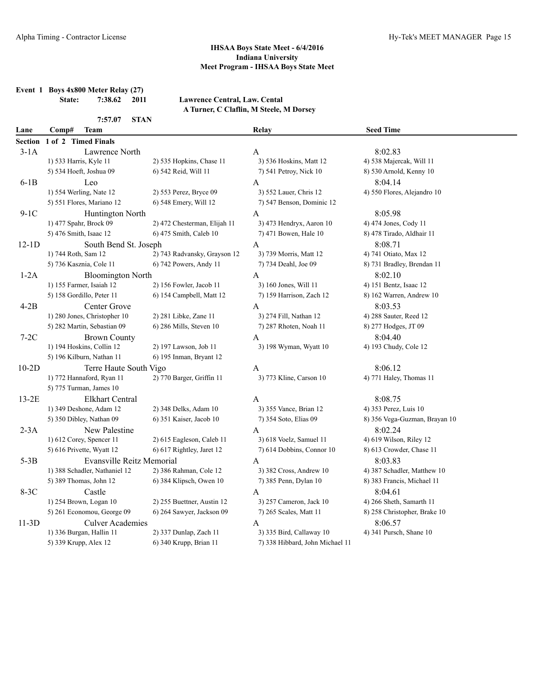**Event 1 Boys 4x800 Meter Relay (27)**

**State: 7:38.62 2011 Lawrence Central, Law. Cental A Turner, C Claflin, M Steele, M Dorsey**

|         | 7:57.07<br><b>STAN</b>           |                              |                                 |                               |
|---------|----------------------------------|------------------------------|---------------------------------|-------------------------------|
| Lane    | Comp#<br><b>Team</b>             |                              | Relay                           | <b>Seed Time</b>              |
| Section | 1 of 2 Timed Finals              |                              |                                 |                               |
| $3-1A$  | Lawrence North                   |                              | A                               | 8:02.83                       |
|         | 1) 533 Harris, Kyle 11           | 2) 535 Hopkins, Chase 11     | 3) 536 Hoskins, Matt 12         | 4) 538 Majercak, Will 11      |
|         | 5) 534 Hoeft, Joshua 09          | 6) 542 Reid, Will 11         | 7) 541 Petroy, Nick 10          | 8) 530 Arnold, Kenny 10       |
| $6-1B$  | Leo                              |                              | A                               | 8:04.14                       |
|         | 1) 554 Werling, Nate 12          | 2) 553 Perez, Bryce 09       | 3) 552 Lauer, Chris 12          | 4) 550 Flores, Alejandro 10   |
|         | 5) 551 Flores, Mariano 12        | 6) 548 Emery, Will 12        | 7) 547 Benson, Dominic 12       |                               |
| $9-1C$  | Huntington North                 |                              | A                               | 8:05.98                       |
|         | 1) 477 Spahr, Brock 09           | 2) 472 Chesterman, Elijah 11 | 3) 473 Hendryx, Aaron 10        | 4) 474 Jones, Cody 11         |
|         | 5) 476 Smith, Isaac 12           | 6) 475 Smith, Caleb 10       | 7) 471 Bowen, Hale 10           | 8) 478 Tirado, Aldhair 11     |
| $12-1D$ | South Bend St. Joseph            |                              | A                               | 8:08.71                       |
|         | 1) 744 Roth, Sam 12              | 2) 743 Radvansky, Grayson 12 | 3) 739 Morris, Matt 12          | 4) 741 Otiato, Max 12         |
|         | 5) 736 Kasznia, Cole 11          | 6) 742 Powers, Andy 11       | 7) 734 Deahl, Joe 09            | 8) 731 Bradley, Brendan 11    |
| $1-2A$  | <b>Bloomington North</b>         |                              | A                               | 8:02.10                       |
|         | 1) 155 Farmer, Isaiah 12         | 2) 156 Fowler, Jacob 11      | 3) 160 Jones, Will 11           | 4) 151 Bentz, Isaac 12        |
|         | 5) 158 Gordillo, Peter 11        | 6) 154 Campbell, Matt 12     | 7) 159 Harrison, Zach 12        | 8) 162 Warren, Andrew 10      |
| $4-2B$  | Center Grove                     |                              | A                               | 8:03.53                       |
|         | 1) 280 Jones, Christopher 10     | 2) 281 Libke, Zane 11        | 3) 274 Fill, Nathan 12          | 4) 288 Sauter, Reed 12        |
|         | 5) 282 Martin, Sebastian 09      | 6) 286 Mills, Steven 10      | 7) 287 Rhoten, Noah 11          | 8) 277 Hodges, JT 09          |
| $7-2C$  | <b>Brown County</b>              |                              | A                               | 8:04.40                       |
|         | 1) 194 Hoskins, Collin 12        | 2) 197 Lawson, Job 11        | 3) 198 Wyman, Wyatt 10          | 4) 193 Chudy, Cole 12         |
|         | 5) 196 Kilburn, Nathan 11        | 6) 195 Inman, Bryant 12      |                                 |                               |
| $10-2D$ | Terre Haute South Vigo           |                              | A                               | 8:06.12                       |
|         | 1) 772 Hannaford, Ryan 11        | 2) 770 Barger, Griffin 11    | 3) 773 Kline, Carson 10         | 4) 771 Haley, Thomas 11       |
|         | 5) 775 Turman, James 10          |                              |                                 |                               |
| $13-2E$ | Elkhart Central                  |                              | A                               | 8:08.75                       |
|         | 1) 349 Deshone, Adam 12          | 2) 348 Delks, Adam 10        | 3) 355 Vance, Brian 12          | 4) 353 Perez, Luis 10         |
|         | 5) 350 Dibley, Nathan 09         | 6) 351 Kaiser, Jacob 10      | 7) 354 Soto, Elias 09           | 8) 356 Vega-Guzman, Brayan 10 |
| $2-3A$  | New Palestine                    |                              | A                               | 8:02.24                       |
|         | 1) 612 Corey, Spencer 11         | 2) 615 Eagleson, Caleb 11    | 3) 618 Voelz, Samuel 11         | 4) 619 Wilson, Riley 12       |
|         | 5) 616 Privette, Wyatt 12        | 6) 617 Rightley, Jaret 12    | 7) 614 Dobbins, Connor 10       | 8) 613 Crowder, Chase 11      |
| $5-3B$  | <b>Evansville Reitz Memorial</b> |                              | A                               | 8:03.83                       |
|         | 1) 388 Schadler, Nathaniel 12    | 2) 386 Rahman, Cole 12       | 3) 382 Cross, Andrew 10         | 4) 387 Schadler, Matthew 10   |
|         | 5) 389 Thomas, John 12           | 6) 384 Klipsch, Owen 10      | 7) 385 Penn, Dylan 10           | 8) 383 Francis, Michael 11    |
| $8-3C$  | Castle                           |                              | A                               | 8:04.61                       |
|         | 1) 254 Brown, Logan 10           | 2) 255 Buettner, Austin 12   | 3) 257 Cameron, Jack 10         | 4) 266 Sheth, Samarth 11      |
|         | 5) 261 Economou, George 09       | 6) 264 Sawyer, Jackson 09    | 7) 265 Scales, Matt 11          | 8) 258 Christopher, Brake 10  |
| $11-3D$ | <b>Culver Academies</b>          |                              | A                               | 8:06.57                       |
|         | 1) 336 Burgan, Hallin 11         | 2) 337 Dunlap, Zach 11       | 3) 335 Bird, Callaway 10        | 4) 341 Pursch, Shane 10       |
|         | 5) 339 Krupp, Alex 12            | 6) 340 Krupp, Brian 11       | 7) 338 Hibbard, John Michael 11 |                               |
|         |                                  |                              |                                 |                               |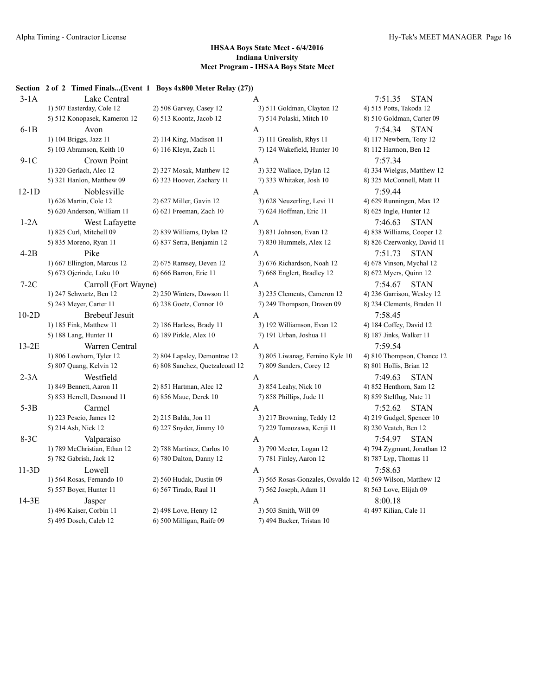#### **Section 2 of 2 Timed Finals...(Event 1 Boys 4x800 Meter Relay (27))**

| $3-1A$  | Lake Central                 |                                 | A                                                           | 7:51.35<br><b>STAN</b>      |
|---------|------------------------------|---------------------------------|-------------------------------------------------------------|-----------------------------|
|         | 1) 507 Easterday, Cole 12    | 2) 508 Garvey, Casey 12         | 3) 511 Goldman, Clayton 12                                  | 4) 515 Potts, Takoda 12     |
|         | 5) 512 Konopasek, Kameron 12 | 6) 513 Koontz, Jacob 12         | 7) 514 Polaski, Mitch 10                                    | 8) 510 Goldman, Carter 09   |
| $6-1B$  | Avon                         |                                 | A                                                           | <b>STAN</b><br>7:54.34      |
|         | 1) 104 Briggs, Jazz 11       | 2) 114 King, Madison 11         | 3) 111 Grealish, Rhys 11                                    | 4) 117 Newbern, Tony 12     |
|         | 5) 103 Abramson, Keith 10    | 6) 116 Kleyn, Zach 11           | 7) 124 Wakefield, Hunter 10                                 | 8) 112 Harmon, Ben 12       |
| $9-1C$  | Crown Point                  |                                 | A                                                           | 7:57.34                     |
|         | 1) 320 Gerlach, Alec 12      | 2) 327 Mosak, Matthew 12        | 3) 332 Wallace, Dylan 12                                    | 4) 334 Wielgus, Matthew 12  |
|         | 5) 321 Hanlon, Matthew 09    | 6) 323 Hoover, Zachary 11       | 7) 333 Whitaker, Josh 10                                    | 8) 325 McConnell, Matt 11   |
| $12-1D$ | Noblesville                  |                                 | A                                                           | 7:59.44                     |
|         | 1) 626 Martin, Cole 12       | 2) 627 Miller, Gavin 12         | 3) 628 Neuzerling, Levi 11                                  | 4) 629 Runningen, Max 12    |
|         | 5) 620 Anderson, William 11  | 6) 621 Freeman, Zach 10         | 7) 624 Hoffman, Eric 11                                     | 8) 625 Ingle, Hunter 12     |
| $1-2A$  | West Lafayette               |                                 | A                                                           | 7:46.63<br><b>STAN</b>      |
|         | 1) 825 Curl, Mitchell 09     | 2) 839 Williams, Dylan 12       | 3) 831 Johnson, Evan 12                                     | 4) 838 Williams, Cooper 12  |
|         | 5) 835 Moreno, Ryan 11       | 6) 837 Serra, Benjamin 12       | 7) 830 Hummels, Alex 12                                     | 8) 826 Czerwonky, David 11  |
| $4-2B$  | Pike                         |                                 | A                                                           | 7:51.73<br><b>STAN</b>      |
|         | 1) 667 Ellington, Marcus 12  | 2) 675 Ramsey, Deven 12         | 3) 676 Richardson, Noah 12                                  | 4) 678 Vinson, Mychal 12    |
|         | 5) 673 Ojerinde, Luku 10     | 6) 666 Barron, Eric 11          | 7) 668 Englert, Bradley 12                                  | 8) 672 Myers, Quinn 12      |
| $7-2C$  | Carroll (Fort Wayne)         |                                 | A                                                           | 7:54.67<br><b>STAN</b>      |
|         | 1) 247 Schwartz, Ben 12      | 2) 250 Winters, Dawson 11       | 3) 235 Clements, Cameron 12                                 | 4) 236 Garrison, Wesley 12  |
|         | 5) 243 Meyer, Carter 11      | 6) 238 Goetz, Connor 10         | 7) 249 Thompson, Draven 09                                  | 8) 234 Clements, Braden 11  |
| $10-2D$ | <b>Brebeuf Jesuit</b>        |                                 | A                                                           | 7:58.45                     |
|         | 1) 185 Fink, Matthew 11      | 2) 186 Harless, Brady 11        | 3) 192 Williamson, Evan 12                                  | 4) 184 Coffey, David 12     |
|         | 5) 188 Lang, Hunter 11       | 6) 189 Pirkle, Alex 10          | 7) 191 Urban, Joshua 11                                     | 8) 187 Jinks, Walker 11     |
| $13-2E$ | Warren Central               |                                 | A                                                           | 7:59.54                     |
|         | 1) 806 Lowhorn, Tyler 12     | 2) 804 Lapsley, Demontrae 12    | 3) 805 Liwanag, Fernino Kyle 10                             | 4) 810 Thompson, Chance 12  |
|         | 5) 807 Quang, Kelvin 12      | 6) 808 Sanchez, Quetzalcoatl 12 | 7) 809 Sanders, Corey 12                                    | 8) 801 Hollis, Brian 12     |
| $2-3A$  | Westfield                    |                                 | A                                                           | 7:49.63<br><b>STAN</b>      |
|         | 1) 849 Bennett, Aaron 11     | 2) 851 Hartman, Alec 12         | 3) 854 Leahy, Nick 10                                       | 4) 852 Henthorn, Sam 12     |
|         | 5) 853 Herrell, Desmond 11   | 6) 856 Maue, Derek 10           | 7) 858 Phillips, Jude 11                                    | 8) 859 Stelflug, Nate 11    |
| $5-3B$  | Carmel                       |                                 | A                                                           | 7:52.62<br><b>STAN</b>      |
|         | 1) 223 Pescio, James 12      | 2) 215 Balda, Jon 11            | 3) 217 Browning, Teddy 12                                   | 4) 219 Gudgel, Spencer 10   |
|         | 5) 214 Ash, Nick 12          | $6)$ 227 Snyder, Jimmy 10       | 7) 229 Tomozawa, Kenji 11                                   | 8) 230 Veatch, Ben 12       |
| $8-3C$  | Valparaiso                   |                                 | A                                                           | 7:54.97<br><b>STAN</b>      |
|         | 1) 789 McChristian, Ethan 12 | 2) 788 Martinez, Carlos 10      | 3) 790 Meeter, Logan 12                                     | 4) 794 Zygmunt, Jonathan 12 |
|         | 5) 782 Gabrish, Jack 12      | 6) 780 Dalton, Danny 12         | 7) 781 Finley, Aaron 12                                     | 8) 787 Lyp, Thomas 11       |
| $11-3D$ | Lowell                       |                                 | A                                                           | 7:58.63                     |
|         | 1) 564 Rosas, Fernando 10    | 2) 560 Hudak, Dustin 09         | 3) 565 Rosas-Gonzales, Osvaldo 12 4) 569 Wilson, Matthew 12 |                             |
|         | 5) 557 Boyer, Hunter 11      | 6) 567 Tirado, Raul 11          | 7) 562 Joseph, Adam 11                                      | 8) 563 Love, Elijah 09      |
| 14-3E   | Jasper                       |                                 | A                                                           | 8:00.18                     |
|         | 1) 496 Kaiser, Corbin 11     | 2) 498 Love, Henry 12           | 3) 503 Smith, Will 09                                       | 4) 497 Kilian, Cale 11      |
|         | 5) 495 Dosch, Caleb 12       | 6) 500 Milligan, Raife 09       | 7) 494 Backer, Tristan 10                                   |                             |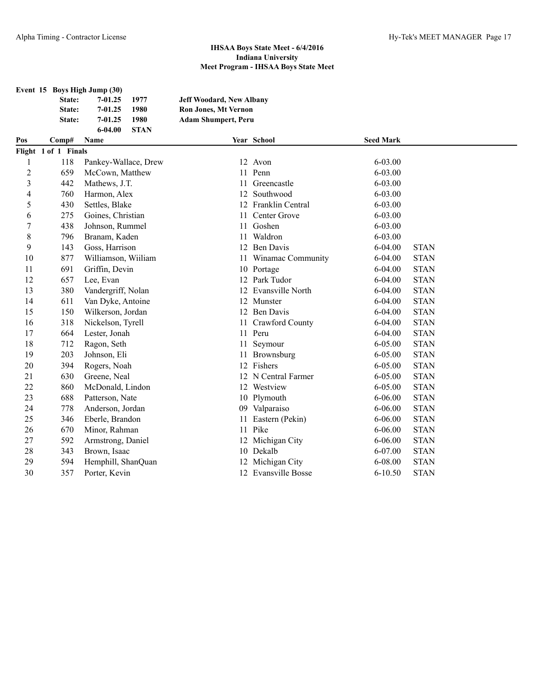|                | Event 15 Boys High Jump (30) |                      |             |                                 |                      |                  |             |  |
|----------------|------------------------------|----------------------|-------------|---------------------------------|----------------------|------------------|-------------|--|
|                | State:                       | $7 - 01.25$          | 1977        | <b>Jeff Woodard, New Albany</b> |                      |                  |             |  |
|                | State:                       | $7 - 01.25$          | 1980        | Ron Jones, Mt Vernon            |                      |                  |             |  |
|                | State:                       | $7 - 01.25$          | 1980        | <b>Adam Shumpert, Peru</b>      |                      |                  |             |  |
|                |                              | 6-04.00              | <b>STAN</b> |                                 |                      |                  |             |  |
| Pos            | Comp#                        | Name                 |             |                                 | Year School          | <b>Seed Mark</b> |             |  |
|                | Flight 1 of 1 Finals         |                      |             |                                 |                      |                  |             |  |
| 1              | 118                          | Pankey-Wallace, Drew |             |                                 | 12 Avon              | $6 - 03.00$      |             |  |
| $\overline{2}$ | 659                          | McCown, Matthew      |             |                                 | 11 Penn              | 6-03.00          |             |  |
| 3              | 442                          | Mathews, J.T.        |             | 11                              | Greencastle          | 6-03.00          |             |  |
| 4              | 760                          | Harmon, Alex         |             | 12                              | Southwood            | 6-03.00          |             |  |
| 5              | 430                          | Settles, Blake       |             |                                 | 12 Franklin Central  | 6-03.00          |             |  |
| 6              | 275                          | Goines, Christian    |             |                                 | 11 Center Grove      | 6-03.00          |             |  |
| $\overline{7}$ | 438                          | Johnson, Rummel      |             |                                 | 11 Goshen            | $6 - 03.00$      |             |  |
| 8              | 796                          | Branam, Kaden        |             |                                 | 11 Waldron           | 6-03.00          |             |  |
| 9              | 143                          | Goss, Harrison       |             |                                 | 12 Ben Davis         | $6 - 04.00$      | <b>STAN</b> |  |
| 10             | 877                          | Williamson, Wiiliam  |             |                                 | 11 Winamac Community | $6 - 04.00$      | <b>STAN</b> |  |
| 11             | 691                          | Griffin, Devin       |             |                                 | 10 Portage           | 6-04.00          | <b>STAN</b> |  |
| 12             | 657                          | Lee, Evan            |             |                                 | 12 Park Tudor        | $6 - 04.00$      | <b>STAN</b> |  |
| 13             | 380                          | Vandergriff, Nolan   |             |                                 | 12 Evansville North  | $6 - 04.00$      | <b>STAN</b> |  |
| 14             | 611                          | Van Dyke, Antoine    |             |                                 | 12 Munster           | $6 - 04.00$      | <b>STAN</b> |  |
| 15             | 150                          | Wilkerson, Jordan    |             |                                 | 12 Ben Davis         | $6 - 04.00$      | <b>STAN</b> |  |
| 16             | 318                          | Nickelson, Tyrell    |             |                                 | 11 Crawford County   | $6 - 04.00$      | <b>STAN</b> |  |
| 17             | 664                          | Lester, Jonah        |             |                                 | 11 Peru              | $6 - 04.00$      | <b>STAN</b> |  |
| 18             | 712                          | Ragon, Seth          |             | 11                              | Seymour              | $6 - 05.00$      | <b>STAN</b> |  |
| 19             | 203                          | Johnson, Eli         |             |                                 | 11 Brownsburg        | 6-05.00          | <b>STAN</b> |  |
| 20             | 394                          | Rogers, Noah         |             |                                 | 12 Fishers           | 6-05.00          | <b>STAN</b> |  |
| 21             | 630                          | Greene, Neal         |             |                                 | 12 N Central Farmer  | 6-05.00          | <b>STAN</b> |  |
| 22             | 860                          | McDonald, Lindon     |             |                                 | 12 Westview          | $6 - 05.00$      | <b>STAN</b> |  |
| 23             | 688                          | Patterson, Nate      |             |                                 | 10 Plymouth          | $6 - 06.00$      | <b>STAN</b> |  |
| 24             | 778                          | Anderson, Jordan     |             |                                 | 09 Valparaiso        | $6 - 06.00$      | <b>STAN</b> |  |
| 25             | 346                          | Eberle, Brandon      |             | 11                              | Eastern (Pekin)      | $6 - 06.00$      | <b>STAN</b> |  |
| 26             | 670                          | Minor, Rahman        |             | 11                              | Pike                 | $6 - 06.00$      | <b>STAN</b> |  |
| 27             | 592                          | Armstrong, Daniel    |             |                                 | 12 Michigan City     | $6 - 06.00$      | <b>STAN</b> |  |
| 28             | 343                          | Brown, Isaac         |             |                                 | 10 Dekalb            | 6-07.00          | <b>STAN</b> |  |
| 29             | 594                          | Hemphill, ShanQuan   |             |                                 | 12 Michigan City     | 6-08.00          | <b>STAN</b> |  |
| 30             | 357                          | Porter, Kevin        |             |                                 | 12 Evansville Bosse  | $6 - 10.50$      | <b>STAN</b> |  |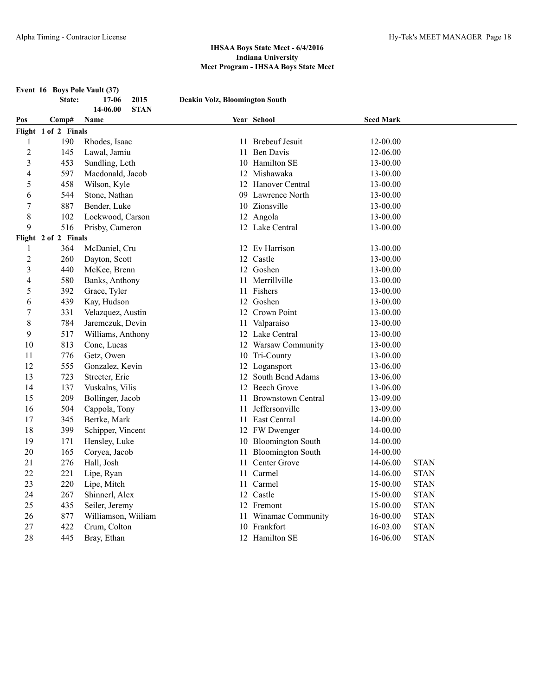**Event 16 Boys Pole Vault (37)**

|                         | State:                      | 2015<br>$17 - 06$             | <b>Deakin Volz, Bloomington South</b> |                           |                      |             |  |
|-------------------------|-----------------------------|-------------------------------|---------------------------------------|---------------------------|----------------------|-------------|--|
|                         |                             | <b>STAN</b><br>14-06.00       |                                       |                           | <b>Seed Mark</b>     |             |  |
| Pos                     | Comp#                       | Name                          |                                       | Year School               |                      |             |  |
| 1                       | Flight 1 of 2 Finals<br>190 | Rhodes, Isaac                 |                                       | 11 Brebeuf Jesuit         | 12-00.00             |             |  |
| $\overline{c}$          | 145                         | Lawal, Jamiu                  |                                       | 11 Ben Davis              | 12-06.00             |             |  |
| $\overline{\mathbf{3}}$ | 453                         | Sundling, Leth                |                                       | 10 Hamilton SE            | 13-00.00             |             |  |
| 4                       | 597                         | Macdonald, Jacob              |                                       | 12 Mishawaka              | 13-00.00             |             |  |
| 5                       | 458                         |                               |                                       | 12 Hanover Central        |                      |             |  |
| 6                       | 544                         | Wilson, Kyle<br>Stone, Nathan |                                       | 09 Lawrence North         | 13-00.00<br>13-00.00 |             |  |
| 7                       | 887                         | Bender, Luke                  |                                       | 10 Zionsville             | 13-00.00             |             |  |
| $\,$ 8 $\,$             | 102                         | Lockwood, Carson              |                                       | 12 Angola                 | 13-00.00             |             |  |
| 9                       | 516                         |                               |                                       | 12 Lake Central           |                      |             |  |
|                         | Flight 2 of 2 Finals        | Prisby, Cameron               |                                       |                           | 13-00.00             |             |  |
| 1                       | 364                         | McDaniel, Cru                 |                                       | 12 Ev Harrison            | 13-00.00             |             |  |
| 2                       | 260                         | Dayton, Scott                 |                                       | 12 Castle                 | 13-00.00             |             |  |
| 3                       | 440                         | McKee, Brenn                  |                                       | 12 Goshen                 | 13-00.00             |             |  |
| 4                       | 580                         | Banks, Anthony                |                                       | 11 Merrillville           | 13-00.00             |             |  |
| 5                       | 392                         | Grace, Tyler                  |                                       | 11 Fishers                | 13-00.00             |             |  |
| 6                       | 439                         | Kay, Hudson                   |                                       | 12 Goshen                 | 13-00.00             |             |  |
| 7                       | 331                         | Velazquez, Austin             |                                       | 12 Crown Point            | 13-00.00             |             |  |
| 8                       | 784                         | Jaremczuk, Devin              |                                       | 11 Valparaiso             | 13-00.00             |             |  |
| 9                       | 517                         | Williams, Anthony             |                                       | 12 Lake Central           | 13-00.00             |             |  |
| 10                      | 813                         | Cone, Lucas                   |                                       | 12 Warsaw Community       | 13-00.00             |             |  |
| 11                      | 776                         | Getz, Owen                    |                                       | 10 Tri-County             | 13-00.00             |             |  |
| 12                      | 555                         | Gonzalez, Kevin               |                                       | 12 Logansport             | 13-06.00             |             |  |
| 13                      | 723                         | Streeter, Eric                |                                       | 12 South Bend Adams       | 13-06.00             |             |  |
| 14                      | 137                         | Vuskalns, Vilis               | 12                                    | <b>Beech Grove</b>        | 13-06.00             |             |  |
| 15                      | 209                         | Bollinger, Jacob              | 11                                    | <b>Brownstown Central</b> | 13-09.00             |             |  |
| 16                      | 504                         | Cappola, Tony                 |                                       | 11 Jeffersonville         | 13-09.00             |             |  |
| 17                      | 345                         | Bertke, Mark                  | 11                                    | East Central              | 14-00.00             |             |  |
| 18                      | 399                         | Schipper, Vincent             |                                       | 12 FW Dwenger             | 14-00.00             |             |  |
| 19                      | 171                         | Hensley, Luke                 |                                       | 10 Bloomington South      | 14-00.00             |             |  |
| 20                      | 165                         | Coryea, Jacob                 |                                       | 11 Bloomington South      | 14-00.00             |             |  |
| 21                      | 276                         | Hall, Josh                    |                                       | 11 Center Grove           | 14-06.00             | <b>STAN</b> |  |
| 22                      | 221                         |                               | 11                                    | Carmel                    | 14-06.00             | <b>STAN</b> |  |
| 23                      | 220                         | Lipe, Ryan                    |                                       | 11 Carmel                 | 15-00.00             | <b>STAN</b> |  |
| 24                      | 267                         | Lipe, Mitch<br>Shinnerl, Alex |                                       | 12 Castle                 |                      | <b>STAN</b> |  |
| 25                      | 435                         | Seiler, Jeremy                |                                       | 12 Fremont                | 15-00.00             | <b>STAN</b> |  |
| 26                      | 877                         | Williamson, Wiiliam           |                                       | 11 Winamac Community      | 15-00.00<br>16-00.00 | <b>STAN</b> |  |
| 27                      | 422                         | Crum, Colton                  |                                       | 10 Frankfort              |                      | <b>STAN</b> |  |
|                         | 445                         |                               |                                       |                           | 16-03.00             |             |  |
| 28                      |                             | Bray, Ethan                   |                                       | 12 Hamilton SE            | 16-06.00             | <b>STAN</b> |  |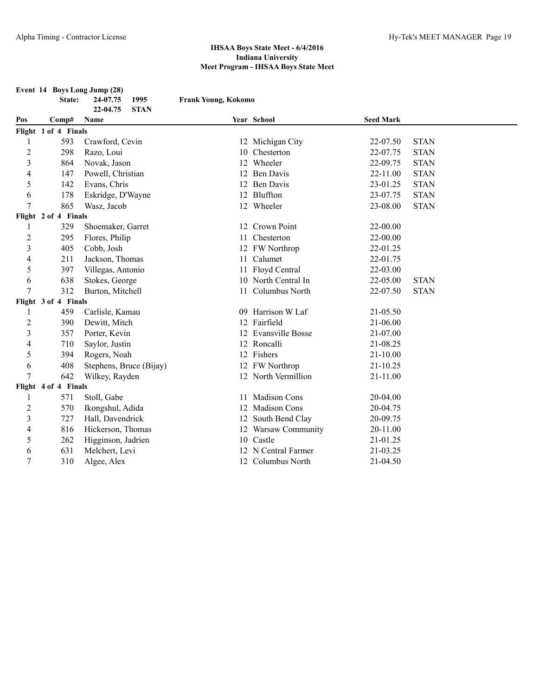| Event 14 Boys Long Jump (28) |                      |                         |                     |                     |                  |             |
|------------------------------|----------------------|-------------------------|---------------------|---------------------|------------------|-------------|
|                              | State:               | 1995<br>24-07.75        | Frank Young, Kokomo |                     |                  |             |
|                              |                      | <b>STAN</b><br>22-04.75 |                     |                     |                  |             |
| Pos                          | Comp#                | Name                    |                     | Year School         | <b>Seed Mark</b> |             |
|                              | Flight 1 of 4 Finals |                         |                     |                     |                  |             |
| 1                            | 593                  | Crawford, Cevin         |                     | 12 Michigan City    | 22-07.50         | <b>STAN</b> |
| $\overline{2}$               | 298                  | Razo, Loui              |                     | 10 Chesterton       | 22-07.75         | <b>STAN</b> |
| 3                            | 864                  | Novak, Jason            |                     | 12 Wheeler          | 22-09.75         | <b>STAN</b> |
| 4                            | 147                  | Powell, Christian       |                     | 12 Ben Davis        | 22-11.00         | <b>STAN</b> |
| 5                            | 142                  | Evans, Chris            |                     | 12 Ben Davis        | 23-01.25         | <b>STAN</b> |
| 6                            | 178                  | Eskridge, D'Wayne       |                     | 12 Bluffton         | 23-07.75         | <b>STAN</b> |
| 7                            | 865                  | Wasz, Jacob             |                     | 12 Wheeler          | 23-08.00         | <b>STAN</b> |
|                              | Flight 2 of 4 Finals |                         |                     |                     |                  |             |
| 1                            | 329                  | Shoemaker, Garret       |                     | 12 Crown Point      | 22-00.00         |             |
| $\overline{c}$               | 295                  | Flores, Philip          |                     | 11 Chesterton       | 22-00.00         |             |
| $\overline{\mathbf{3}}$      | 405                  | Cobb, Josh              |                     | 12 FW Northrop      | 22-01.25         |             |
| $\overline{\mathcal{A}}$     | 211                  | Jackson, Thomas         |                     | 11 Calumet          | 22-01.75         |             |
| 5                            | 397                  | Villegas, Antonio       |                     | 11 Floyd Central    | 22-03.00         |             |
| 6                            | 638                  | Stokes, George          |                     | 10 North Central In | 22-05.00         | <b>STAN</b> |
| 7                            | 312                  | Burton, Mitchell        |                     | 11 Columbus North   | 22-07.50         | <b>STAN</b> |
|                              | Flight 3 of 4 Finals |                         |                     |                     |                  |             |
| 1                            | 459                  | Carlisle, Kamau         |                     | 09 Harrison W Laf   | 21-05.50         |             |
| $\overline{c}$               | 390                  | Dewitt, Mitch           |                     | 12 Fairfield        | 21-06.00         |             |
| 3                            | 357                  | Porter, Kevin           |                     | 12 Evansville Bosse | 21-07.00         |             |
| 4                            | 710                  | Saylor, Justin          |                     | 12 Roncalli         | 21-08.25         |             |
| 5                            | 394                  | Rogers, Noah            |                     | 12 Fishers          | 21-10.00         |             |
| 6                            | 408                  | Stephens, Bruce (Bijay) |                     | 12 FW Northrop      | 21-10.25         |             |
| 7                            | 642                  | Wilkey, Rayden          |                     | 12 North Vermillion | 21-11.00         |             |
|                              | Flight 4 of 4 Finals |                         |                     |                     |                  |             |
| 1                            | 571                  | Stoll, Gabe             | 11.                 | <b>Madison Cons</b> | 20-04.00         |             |
| $\overline{c}$               | 570                  | Ikongshul, Adida        |                     | 12 Madison Cons     | 20-04.75         |             |
| 3                            | 727                  | Hall, Davendrick        |                     | 12 South Bend Clay  | 20-09.75         |             |
| 4                            | 816                  | Hickerson, Thomas       |                     | 12 Warsaw Community | 20-11.00         |             |
| 5                            | 262                  | Higginson, Jadrien      |                     | 10 Castle           | 21-01.25         |             |
| 6                            | 631                  | Melchert, Levi          |                     | 12 N Central Farmer | 21-03.25         |             |
| 7                            | 310                  | Algee, Alex             |                     | 12 Columbus North   | 21-04.50         |             |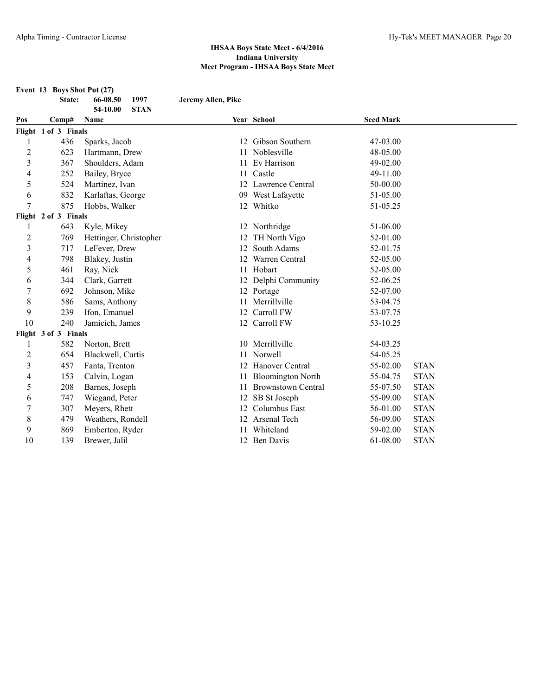**Event 13 Boys Shot Put (27)**

**State: 66-08.50 1997 Jeremy Allen, Pike**

|                |                      | <b>STAN</b><br>54-10.00 |    |                           |                  |             |  |  |  |
|----------------|----------------------|-------------------------|----|---------------------------|------------------|-------------|--|--|--|
| Pos            | Comp#                | Name                    |    | Year School               | <b>Seed Mark</b> |             |  |  |  |
|                | Flight 1 of 3 Finals |                         |    |                           |                  |             |  |  |  |
| 1              | 436                  | Sparks, Jacob           |    | 12 Gibson Southern        | 47-03.00         |             |  |  |  |
| $\overline{2}$ | 623                  | Hartmann, Drew          | 11 | Noblesville               | 48-05.00         |             |  |  |  |
| 3              | 367                  | Shoulders, Adam         |    | Ev Harrison               | 49-02.00         |             |  |  |  |
| $\overline{4}$ | 252                  | Bailey, Bryce           |    | 11 Castle                 | 49-11.00         |             |  |  |  |
| 5              | 524                  | Martinez, Ivan          |    | 12 Lawrence Central       | 50-00.00         |             |  |  |  |
| 6              | 832                  | Karlaftas, George       |    | 09 West Lafayette         | 51-05.00         |             |  |  |  |
| 7              | 875                  | Hobbs, Walker           |    | 12 Whitko                 | 51-05.25         |             |  |  |  |
|                | Flight 2 of 3 Finals |                         |    |                           |                  |             |  |  |  |
| 1              | 643                  | Kyle, Mikey             |    | 12 Northridge             | 51-06.00         |             |  |  |  |
| $\overline{2}$ | 769                  | Hettinger, Christopher  |    | 12 TH North Vigo          | 52-01.00         |             |  |  |  |
| 3              | 717                  | LeFever, Drew           | 12 | South Adams               | 52-01.75         |             |  |  |  |
| 4              | 798                  | Blakey, Justin          | 12 | Warren Central            | 52-05.00         |             |  |  |  |
| 5              | 461                  | Ray, Nick               |    | 11 Hobart                 | 52-05.00         |             |  |  |  |
| 6              | 344                  | Clark, Garrett          |    | 12 Delphi Community       | 52-06.25         |             |  |  |  |
| $\sqrt{ }$     | 692                  | Johnson, Mike           |    | 12 Portage                | 52-07.00         |             |  |  |  |
| 8              | 586                  | Sams, Anthony           | 11 | Merrillville              | 53-04.75         |             |  |  |  |
| 9              | 239                  | Ifon, Emanuel           |    | 12 Carroll FW             | 53-07.75         |             |  |  |  |
| 10             | 240                  | Jamicich, James         |    | 12 Carroll FW             | 53-10.25         |             |  |  |  |
|                | Flight 3 of 3 Finals |                         |    |                           |                  |             |  |  |  |
| 1              | 582                  | Norton, Brett           |    | 10 Merrillville           | 54-03.25         |             |  |  |  |
| $\overline{c}$ | 654                  | Blackwell, Curtis       | 11 | Norwell                   | 54-05.25         |             |  |  |  |
| $\overline{3}$ | 457                  | Fanta, Trenton          |    | 12 Hanover Central        | 55-02.00         | <b>STAN</b> |  |  |  |
| 4              | 153                  | Calvin, Logan           | 11 | <b>Bloomington North</b>  | 55-04.75         | <b>STAN</b> |  |  |  |
| 5              | 208                  | Barnes, Joseph          | 11 | <b>Brownstown Central</b> | 55-07.50         | <b>STAN</b> |  |  |  |
| 6              | 747                  | Wiegand, Peter          |    | 12 SB St Joseph           | 55-09.00         | <b>STAN</b> |  |  |  |
| 7              | 307                  | Meyers, Rhett           |    | 12 Columbus East          | 56-01.00         | <b>STAN</b> |  |  |  |
| 8              | 479                  | Weathers, Rondell       |    | 12 Arsenal Tech           | 56-09.00         | <b>STAN</b> |  |  |  |
| 9              | 869                  | Emberton, Ryder         |    | Whiteland                 | 59-02.00         | <b>STAN</b> |  |  |  |
| 10             | 139                  | Brewer, Jalil           |    | 12 Ben Davis              | 61-08.00         | <b>STAN</b> |  |  |  |